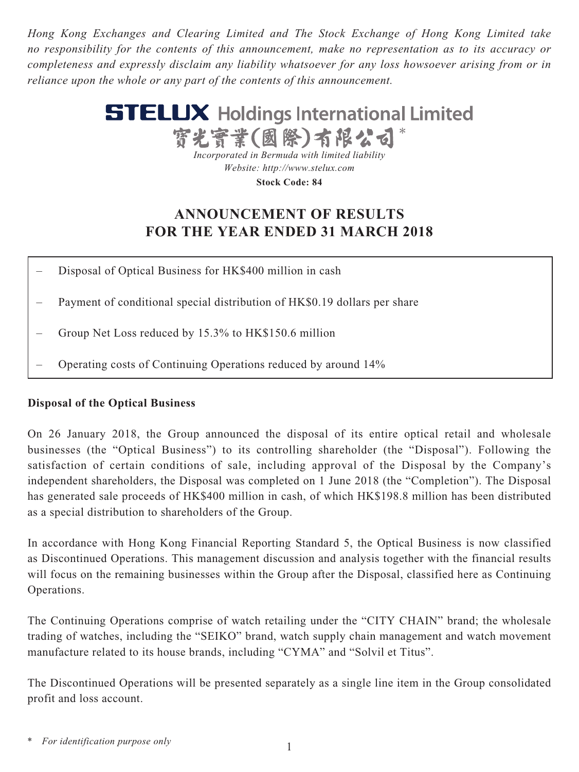*Hong Kong Exchanges and Clearing Limited and The Stock Exchange of Hong Kong Limited take no responsibility for the contents of this announcement, make no representation as to its accuracy or completeness and expressly disclaim any liability whatsoever for any loss howsoever arising from or in reliance upon the whole or any part of the contents of this announcement.*



**Stock Code: 84**

# **ANNOUNCEMENT OF RESULTS FOR THE YEAR ENDED 31 MARCH 2018**

- Disposal of Optical Business for HK\$400 million in cash
- Payment of conditional special distribution of HK\$0.19 dollars per share
- Group Net Loss reduced by 15.3% to HK\$150.6 million
- Operating costs of Continuing Operations reduced by around 14%

# **Disposal of the Optical Business**

On 26 January 2018, the Group announced the disposal of its entire optical retail and wholesale businesses (the "Optical Business") to its controlling shareholder (the "Disposal"). Following the satisfaction of certain conditions of sale, including approval of the Disposal by the Company's independent shareholders, the Disposal was completed on 1 June 2018 (the "Completion"). The Disposal has generated sale proceeds of HK\$400 million in cash, of which HK\$198.8 million has been distributed as a special distribution to shareholders of the Group.

In accordance with Hong Kong Financial Reporting Standard 5, the Optical Business is now classified as Discontinued Operations. This management discussion and analysis together with the financial results will focus on the remaining businesses within the Group after the Disposal, classified here as Continuing Operations.

The Continuing Operations comprise of watch retailing under the "CITY CHAIN" brand; the wholesale trading of watches, including the "SEIKO" brand, watch supply chain management and watch movement manufacture related to its house brands, including "CYMA" and "Solvil et Titus".

The Discontinued Operations will be presented separately as a single line item in the Group consolidated profit and loss account.

*<sup>\*</sup> For identification purpose only*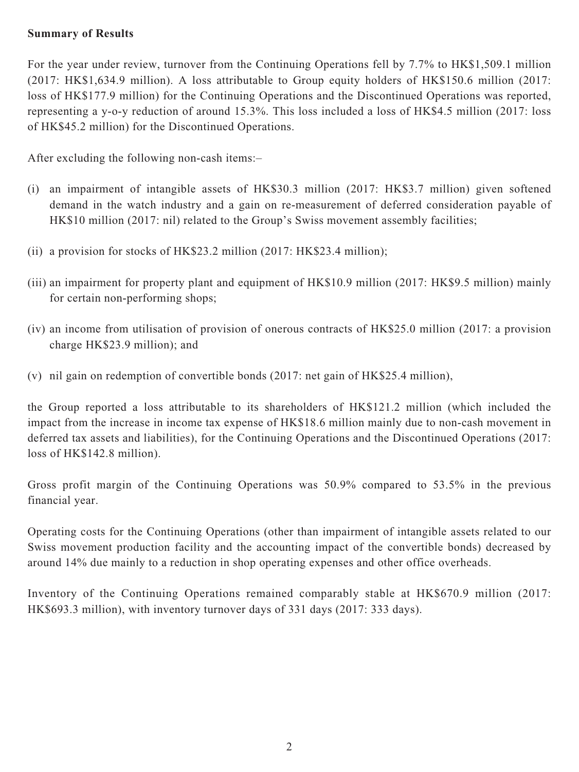## **Summary of Results**

For the year under review, turnover from the Continuing Operations fell by 7.7% to HK\$1,509.1 million (2017: HK\$1,634.9 million). A loss attributable to Group equity holders of HK\$150.6 million (2017: loss of HK\$177.9 million) for the Continuing Operations and the Discontinued Operations was reported, representing a y-o-y reduction of around 15.3%. This loss included a loss of HK\$4.5 million (2017: loss of HK\$45.2 million) for the Discontinued Operations.

After excluding the following non-cash items:–

- (i) an impairment of intangible assets of HK\$30.3 million (2017: HK\$3.7 million) given softened demand in the watch industry and a gain on re-measurement of deferred consideration payable of HK\$10 million (2017: nil) related to the Group's Swiss movement assembly facilities;
- (ii) a provision for stocks of HK\$23.2 million (2017: HK\$23.4 million);
- (iii) an impairment for property plant and equipment of HK\$10.9 million (2017: HK\$9.5 million) mainly for certain non-performing shops;
- (iv) an income from utilisation of provision of onerous contracts of HK\$25.0 million (2017: a provision charge HK\$23.9 million); and
- (v) nil gain on redemption of convertible bonds (2017: net gain of HK\$25.4 million),

the Group reported a loss attributable to its shareholders of HK\$121.2 million (which included the impact from the increase in income tax expense of HK\$18.6 million mainly due to non-cash movement in deferred tax assets and liabilities), for the Continuing Operations and the Discontinued Operations (2017: loss of HK\$142.8 million).

Gross profit margin of the Continuing Operations was 50.9% compared to 53.5% in the previous financial year.

Operating costs for the Continuing Operations (other than impairment of intangible assets related to our Swiss movement production facility and the accounting impact of the convertible bonds) decreased by around 14% due mainly to a reduction in shop operating expenses and other office overheads.

Inventory of the Continuing Operations remained comparably stable at HK\$670.9 million (2017: HK\$693.3 million), with inventory turnover days of 331 days (2017: 333 days).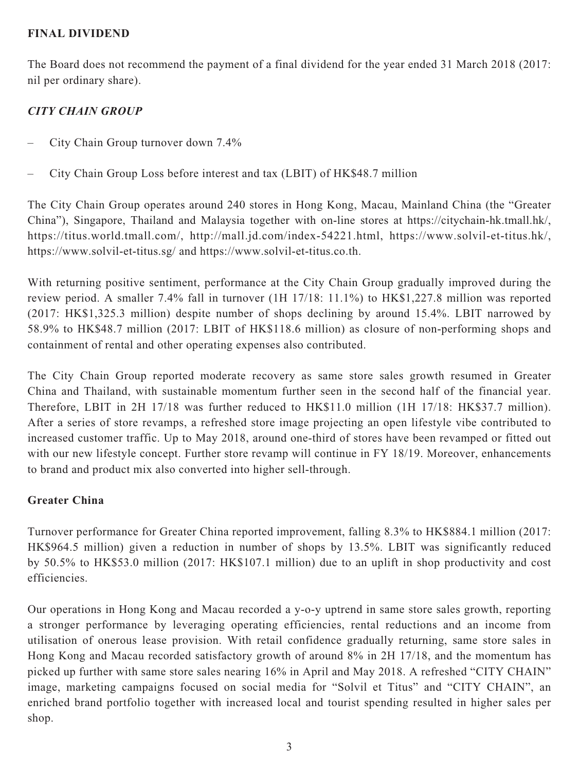# **FINAL DIVIDEND**

The Board does not recommend the payment of a final dividend for the year ended 31 March 2018 (2017: nil per ordinary share).

# *CITY CHAIN GROUP*

- City Chain Group turnover down 7.4%
- City Chain Group Loss before interest and tax (LBIT) of HK\$48.7 million

The City Chain Group operates around 240 stores in Hong Kong, Macau, Mainland China (the "Greater China"), Singapore, Thailand and Malaysia together with on-line stores at https://citychain-hk.tmall.hk/, https://titus.world.tmall.com/, http://mall.jd.com/index-54221.html, https://www.solvil-et-titus.hk/, https://www.solvil-et-titus.sg/ and https://www.solvil-et-titus.co.th.

With returning positive sentiment, performance at the City Chain Group gradually improved during the review period. A smaller 7.4% fall in turnover (1H 17/18: 11.1%) to HK\$1,227.8 million was reported (2017: HK\$1,325.3 million) despite number of shops declining by around 15.4%. LBIT narrowed by 58.9% to HK\$48.7 million (2017: LBIT of HK\$118.6 million) as closure of non-performing shops and containment of rental and other operating expenses also contributed.

The City Chain Group reported moderate recovery as same store sales growth resumed in Greater China and Thailand, with sustainable momentum further seen in the second half of the financial year. Therefore, LBIT in 2H 17/18 was further reduced to HK\$11.0 million (1H 17/18: HK\$37.7 million). After a series of store revamps, a refreshed store image projecting an open lifestyle vibe contributed to increased customer traffic. Up to May 2018, around one-third of stores have been revamped or fitted out with our new lifestyle concept. Further store revamp will continue in FY 18/19. Moreover, enhancements to brand and product mix also converted into higher sell-through.

### **Greater China**

Turnover performance for Greater China reported improvement, falling 8.3% to HK\$884.1 million (2017: HK\$964.5 million) given a reduction in number of shops by 13.5%. LBIT was significantly reduced by 50.5% to HK\$53.0 million (2017: HK\$107.1 million) due to an uplift in shop productivity and cost efficiencies.

Our operations in Hong Kong and Macau recorded a y-o-y uptrend in same store sales growth, reporting a stronger performance by leveraging operating efficiencies, rental reductions and an income from utilisation of onerous lease provision. With retail confidence gradually returning, same store sales in Hong Kong and Macau recorded satisfactory growth of around 8% in 2H 17/18, and the momentum has picked up further with same store sales nearing 16% in April and May 2018. A refreshed "CITY CHAIN" image, marketing campaigns focused on social media for "Solvil et Titus" and "CITY CHAIN", an enriched brand portfolio together with increased local and tourist spending resulted in higher sales per shop.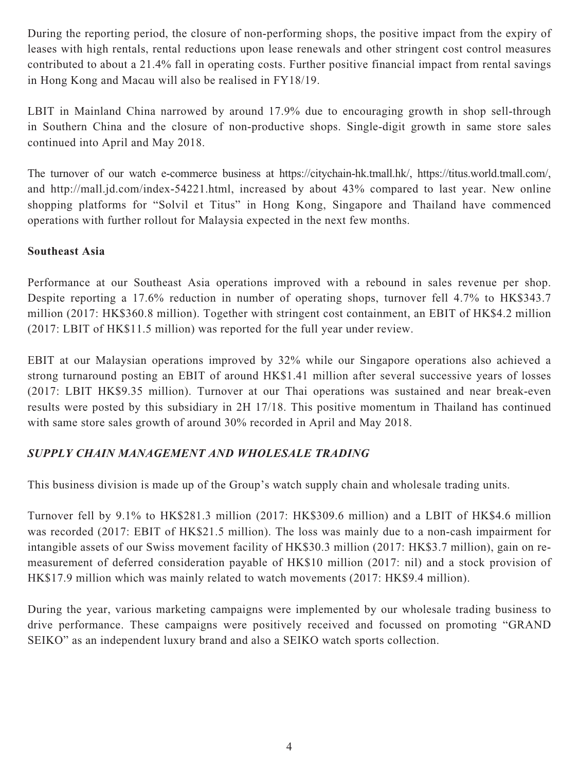During the reporting period, the closure of non-performing shops, the positive impact from the expiry of leases with high rentals, rental reductions upon lease renewals and other stringent cost control measures contributed to about a 21.4% fall in operating costs. Further positive financial impact from rental savings in Hong Kong and Macau will also be realised in FY18/19.

LBIT in Mainland China narrowed by around 17.9% due to encouraging growth in shop sell-through in Southern China and the closure of non-productive shops. Single-digit growth in same store sales continued into April and May 2018.

The turnover of our watch e-commerce business at https://citychain-hk.tmall.hk/, https://titus.world.tmall.com/, and http://mall.jd.com/index-54221.html, increased by about 43% compared to last year. New online shopping platforms for "Solvil et Titus" in Hong Kong, Singapore and Thailand have commenced operations with further rollout for Malaysia expected in the next few months.

# **Southeast Asia**

Performance at our Southeast Asia operations improved with a rebound in sales revenue per shop. Despite reporting a 17.6% reduction in number of operating shops, turnover fell 4.7% to HK\$343.7 million (2017: HK\$360.8 million). Together with stringent cost containment, an EBIT of HK\$4.2 million (2017: LBIT of HK\$11.5 million) was reported for the full year under review.

EBIT at our Malaysian operations improved by 32% while our Singapore operations also achieved a strong turnaround posting an EBIT of around HK\$1.41 million after several successive years of losses (2017: LBIT HK\$9.35 million). Turnover at our Thai operations was sustained and near break-even results were posted by this subsidiary in 2H 17/18. This positive momentum in Thailand has continued with same store sales growth of around 30% recorded in April and May 2018.

# *SUPPLY CHAIN MANAGEMENT AND WHOLESALE TRADING*

This business division is made up of the Group's watch supply chain and wholesale trading units.

Turnover fell by 9.1% to HK\$281.3 million (2017: HK\$309.6 million) and a LBIT of HK\$4.6 million was recorded (2017: EBIT of HK\$21.5 million). The loss was mainly due to a non-cash impairment for intangible assets of our Swiss movement facility of HK\$30.3 million (2017: HK\$3.7 million), gain on remeasurement of deferred consideration payable of HK\$10 million (2017: nil) and a stock provision of HK\$17.9 million which was mainly related to watch movements (2017: HK\$9.4 million).

During the year, various marketing campaigns were implemented by our wholesale trading business to drive performance. These campaigns were positively received and focussed on promoting "GRAND SEIKO" as an independent luxury brand and also a SEIKO watch sports collection.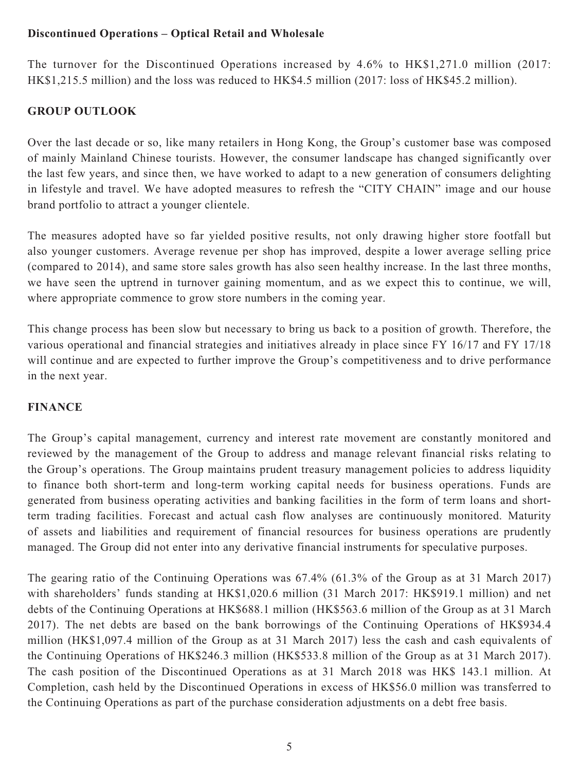# **Discontinued Operations – Optical Retail and Wholesale**

The turnover for the Discontinued Operations increased by 4.6% to HK\$1,271.0 million (2017: HK\$1,215.5 million) and the loss was reduced to HK\$4.5 million (2017: loss of HK\$45.2 million).

# **GROUP OUTLOOK**

Over the last decade or so, like many retailers in Hong Kong, the Group's customer base was composed of mainly Mainland Chinese tourists. However, the consumer landscape has changed significantly over the last few years, and since then, we have worked to adapt to a new generation of consumers delighting in lifestyle and travel. We have adopted measures to refresh the "CITY CHAIN" image and our house brand portfolio to attract a younger clientele.

The measures adopted have so far yielded positive results, not only drawing higher store footfall but also younger customers. Average revenue per shop has improved, despite a lower average selling price (compared to 2014), and same store sales growth has also seen healthy increase. In the last three months, we have seen the uptrend in turnover gaining momentum, and as we expect this to continue, we will, where appropriate commence to grow store numbers in the coming year.

This change process has been slow but necessary to bring us back to a position of growth. Therefore, the various operational and financial strategies and initiatives already in place since FY 16/17 and FY 17/18 will continue and are expected to further improve the Group's competitiveness and to drive performance in the next year.

# **FINANCE**

The Group's capital management, currency and interest rate movement are constantly monitored and reviewed by the management of the Group to address and manage relevant financial risks relating to the Group's operations. The Group maintains prudent treasury management policies to address liquidity to finance both short-term and long-term working capital needs for business operations. Funds are generated from business operating activities and banking facilities in the form of term loans and shortterm trading facilities. Forecast and actual cash flow analyses are continuously monitored. Maturity of assets and liabilities and requirement of financial resources for business operations are prudently managed. The Group did not enter into any derivative financial instruments for speculative purposes.

The gearing ratio of the Continuing Operations was 67.4% (61.3% of the Group as at 31 March 2017) with shareholders' funds standing at HK\$1,020.6 million (31 March 2017: HK\$919.1 million) and net debts of the Continuing Operations at HK\$688.1 million (HK\$563.6 million of the Group as at 31 March 2017). The net debts are based on the bank borrowings of the Continuing Operations of HK\$934.4 million (HK\$1,097.4 million of the Group as at 31 March 2017) less the cash and cash equivalents of the Continuing Operations of HK\$246.3 million (HK\$533.8 million of the Group as at 31 March 2017). The cash position of the Discontinued Operations as at 31 March 2018 was HK\$ 143.1 million. At Completion, cash held by the Discontinued Operations in excess of HK\$56.0 million was transferred to the Continuing Operations as part of the purchase consideration adjustments on a debt free basis.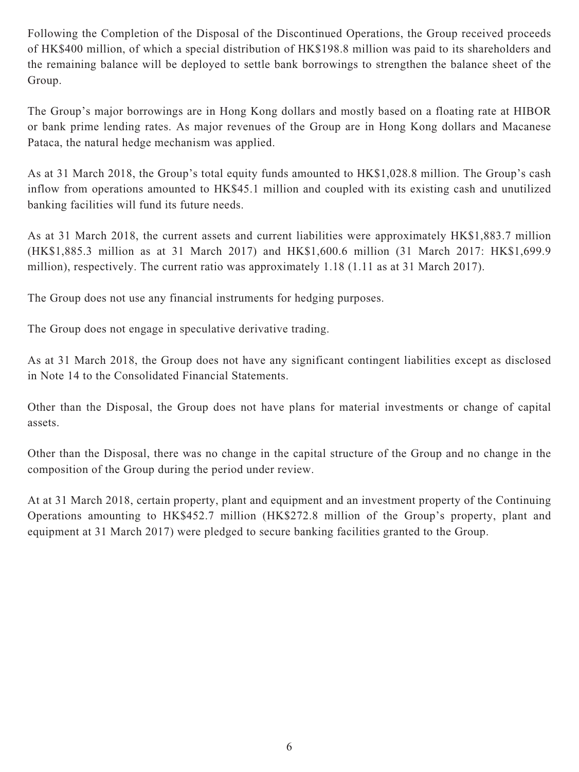Following the Completion of the Disposal of the Discontinued Operations, the Group received proceeds of HK\$400 million, of which a special distribution of HK\$198.8 million was paid to its shareholders and the remaining balance will be deployed to settle bank borrowings to strengthen the balance sheet of the Group.

The Group's major borrowings are in Hong Kong dollars and mostly based on a floating rate at HIBOR or bank prime lending rates. As major revenues of the Group are in Hong Kong dollars and Macanese Pataca, the natural hedge mechanism was applied.

As at 31 March 2018, the Group's total equity funds amounted to HK\$1,028.8 million. The Group's cash inflow from operations amounted to HK\$45.1 million and coupled with its existing cash and unutilized banking facilities will fund its future needs.

As at 31 March 2018, the current assets and current liabilities were approximately HK\$1,883.7 million (HK\$1,885.3 million as at 31 March 2017) and HK\$1,600.6 million (31 March 2017: HK\$1,699.9 million), respectively. The current ratio was approximately 1.18 (1.11 as at 31 March 2017).

The Group does not use any financial instruments for hedging purposes.

The Group does not engage in speculative derivative trading.

As at 31 March 2018, the Group does not have any significant contingent liabilities except as disclosed in Note 14 to the Consolidated Financial Statements.

Other than the Disposal, the Group does not have plans for material investments or change of capital assets.

Other than the Disposal, there was no change in the capital structure of the Group and no change in the composition of the Group during the period under review.

At at 31 March 2018, certain property, plant and equipment and an investment property of the Continuing Operations amounting to HK\$452.7 million (HK\$272.8 million of the Group's property, plant and equipment at 31 March 2017) were pledged to secure banking facilities granted to the Group.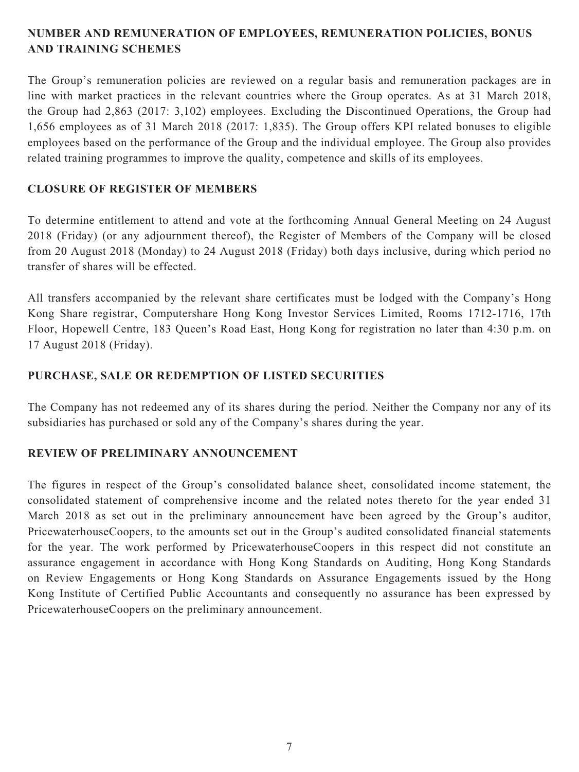# **NUMBER AND REMUNERATION OF EMPLOYEES, REMUNERATION POLICIES, BONUS AND TRAINING SCHEMES**

The Group's remuneration policies are reviewed on a regular basis and remuneration packages are in line with market practices in the relevant countries where the Group operates. As at 31 March 2018, the Group had 2,863 (2017: 3,102) employees. Excluding the Discontinued Operations, the Group had 1,656 employees as of 31 March 2018 (2017: 1,835). The Group offers KPI related bonuses to eligible employees based on the performance of the Group and the individual employee. The Group also provides related training programmes to improve the quality, competence and skills of its employees.

### **CLOSURE OF REGISTER OF MEMBERS**

To determine entitlement to attend and vote at the forthcoming Annual General Meeting on 24 August 2018 (Friday) (or any adjournment thereof), the Register of Members of the Company will be closed from 20 August 2018 (Monday) to 24 August 2018 (Friday) both days inclusive, during which period no transfer of shares will be effected.

All transfers accompanied by the relevant share certificates must be lodged with the Company's Hong Kong Share registrar, Computershare Hong Kong Investor Services Limited, Rooms 1712-1716, 17th Floor, Hopewell Centre, 183 Queen's Road East, Hong Kong for registration no later than 4:30 p.m. on 17 August 2018 (Friday).

# **PURCHASE, SALE OR REDEMPTION OF LISTED SECURITIES**

The Company has not redeemed any of its shares during the period. Neither the Company nor any of its subsidiaries has purchased or sold any of the Company's shares during the year.

# **REVIEW OF PRELIMINARY ANNOUNCEMENT**

The figures in respect of the Group's consolidated balance sheet, consolidated income statement, the consolidated statement of comprehensive income and the related notes thereto for the year ended 31 March 2018 as set out in the preliminary announcement have been agreed by the Group's auditor, PricewaterhouseCoopers, to the amounts set out in the Group's audited consolidated financial statements for the year. The work performed by PricewaterhouseCoopers in this respect did not constitute an assurance engagement in accordance with Hong Kong Standards on Auditing, Hong Kong Standards on Review Engagements or Hong Kong Standards on Assurance Engagements issued by the Hong Kong Institute of Certified Public Accountants and consequently no assurance has been expressed by PricewaterhouseCoopers on the preliminary announcement.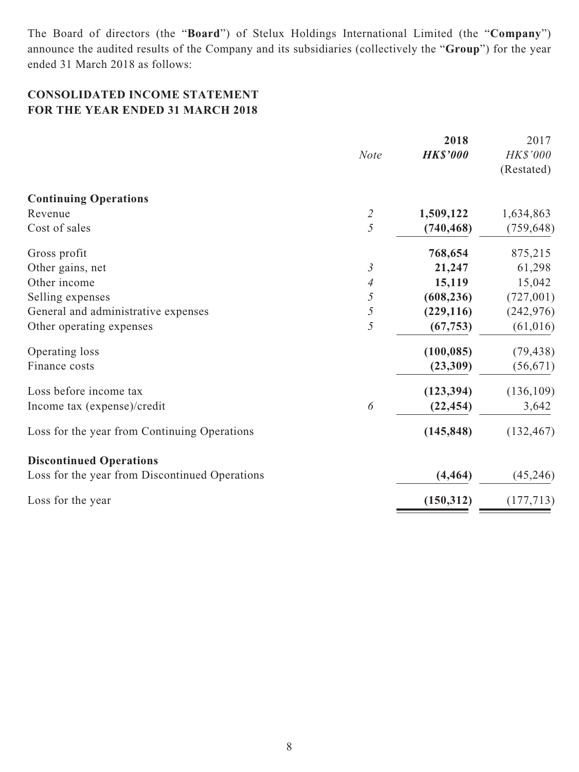The Board of directors (the "**Board**") of Stelux Holdings International Limited (the "**Company**") announce the audited results of the Company and its subsidiaries (collectively the "**Group**") for the year ended 31 March 2018 as follows:

# **CONSOLIDATED INCOME STATEMENT FOR THE YEAR ENDED 31 MARCH 2018**

|                                                | <b>Note</b>                 | 2018<br><b>HK\$'000</b> | 2017<br>HK\$'000<br>(Restated) |
|------------------------------------------------|-----------------------------|-------------------------|--------------------------------|
| <b>Continuing Operations</b>                   |                             |                         |                                |
| Revenue                                        | $\mathcal{Z}_{\mathcal{Z}}$ | 1,509,122               | 1,634,863                      |
| Cost of sales                                  | 5                           | (740, 468)              | (759, 648)                     |
| Gross profit                                   |                             | 768,654                 | 875,215                        |
| Other gains, net                               | $\mathfrak{Z}$              | 21,247                  | 61,298                         |
| Other income                                   | 4                           | 15,119                  | 15,042                         |
| Selling expenses                               | 5                           | (608, 236)              | (727,001)                      |
| General and administrative expenses            | 5                           | (229, 116)              | (242, 976)                     |
| Other operating expenses                       | 5                           | (67, 753)               | (61, 016)                      |
| Operating loss                                 |                             | (100, 085)              | (79, 438)                      |
| Finance costs                                  |                             | (23,309)                | (56, 671)                      |
| Loss before income tax                         |                             | (123, 394)              | (136, 109)                     |
| Income tax (expense)/credit                    | 6                           | (22, 454)               | 3,642                          |
| Loss for the year from Continuing Operations   |                             | (145, 848)              | (132, 467)                     |
| <b>Discontinued Operations</b>                 |                             |                         |                                |
| Loss for the year from Discontinued Operations |                             | (4, 464)                | (45, 246)                      |
| Loss for the year                              |                             | (150, 312)              | (177, 713)                     |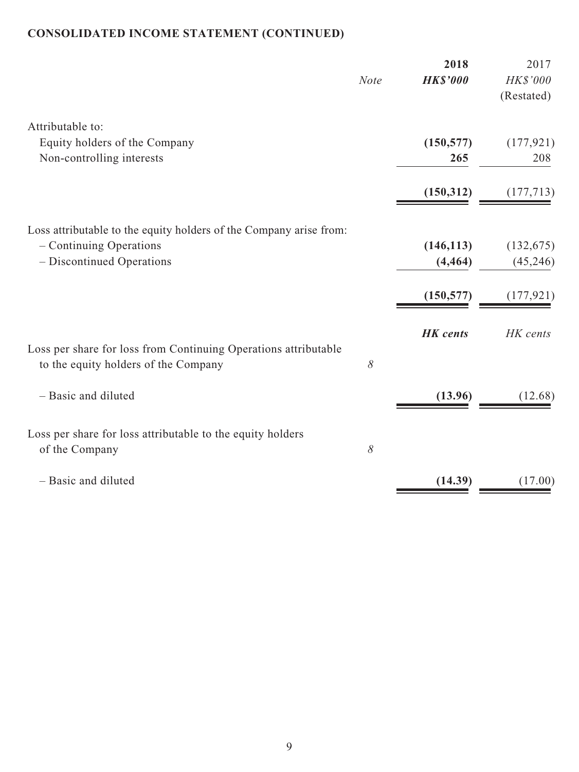# **CONSOLIDATED INCOME STATEMENT (CONTINUED)**

|                                                                                                                            | <b>Note</b> | 2018<br><b>HK\$'000</b>              | 2017<br>HK\$'000<br>(Restated)        |
|----------------------------------------------------------------------------------------------------------------------------|-------------|--------------------------------------|---------------------------------------|
| Attributable to:<br>Equity holders of the Company<br>Non-controlling interests                                             |             | (150, 577)<br>265                    | (177, 921)<br>208                     |
|                                                                                                                            |             | (150, 312)                           | (177, 713)                            |
| Loss attributable to the equity holders of the Company arise from:<br>- Continuing Operations<br>- Discontinued Operations |             | (146, 113)<br>(4, 464)<br>(150, 577) | (132, 675)<br>(45, 246)<br>(177, 921) |
| Loss per share for loss from Continuing Operations attributable<br>to the equity holders of the Company                    | $\delta$    | <b>HK</b> cents                      | HK cents                              |
| - Basic and diluted                                                                                                        |             | (13.96)                              | (12.68)                               |
| Loss per share for loss attributable to the equity holders<br>of the Company                                               | $\delta$    |                                      |                                       |
| - Basic and diluted                                                                                                        |             | (14.39)                              | (17.00)                               |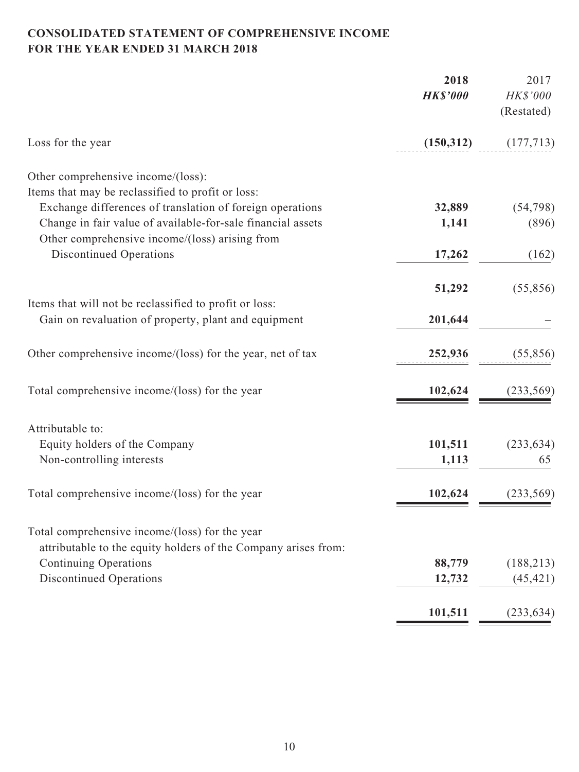# **CONSOLIDATED STATEMENT OF COMPREHENSIVE INCOME FOR THE YEAR ENDED 31 MARCH 2018**

|                                                                | 2018            | 2017                   |
|----------------------------------------------------------------|-----------------|------------------------|
|                                                                | <b>HK\$'000</b> | HK\$'000<br>(Restated) |
| Loss for the year                                              | (150, 312)      | (177, 713)             |
| Other comprehensive income/(loss):                             |                 |                        |
| Items that may be reclassified to profit or loss:              |                 |                        |
| Exchange differences of translation of foreign operations      | 32,889          | (54, 798)              |
| Change in fair value of available-for-sale financial assets    | 1,141           | (896)                  |
| Other comprehensive income/(loss) arising from                 |                 |                        |
| <b>Discontinued Operations</b>                                 | 17,262          | (162)                  |
|                                                                | 51,292          | (55,856)               |
| Items that will not be reclassified to profit or loss:         |                 |                        |
| Gain on revaluation of property, plant and equipment           | 201,644         |                        |
| Other comprehensive income/(loss) for the year, net of tax     | 252,936         | (55, 856)              |
| Total comprehensive income/(loss) for the year                 | 102,624         | (233, 569)             |
| Attributable to:                                               |                 |                        |
| Equity holders of the Company                                  | 101,511         | (233, 634)             |
| Non-controlling interests                                      | 1,113           | 65                     |
| Total comprehensive income/(loss) for the year                 | 102,624         | (233, 569)             |
|                                                                |                 |                        |
| Total comprehensive income/(loss) for the year                 |                 |                        |
| attributable to the equity holders of the Company arises from: |                 |                        |
| <b>Continuing Operations</b>                                   | 88,779          | (188, 213)             |
| <b>Discontinued Operations</b>                                 | 12,732          | (45, 421)              |
|                                                                | 101,511         | (233, 634)             |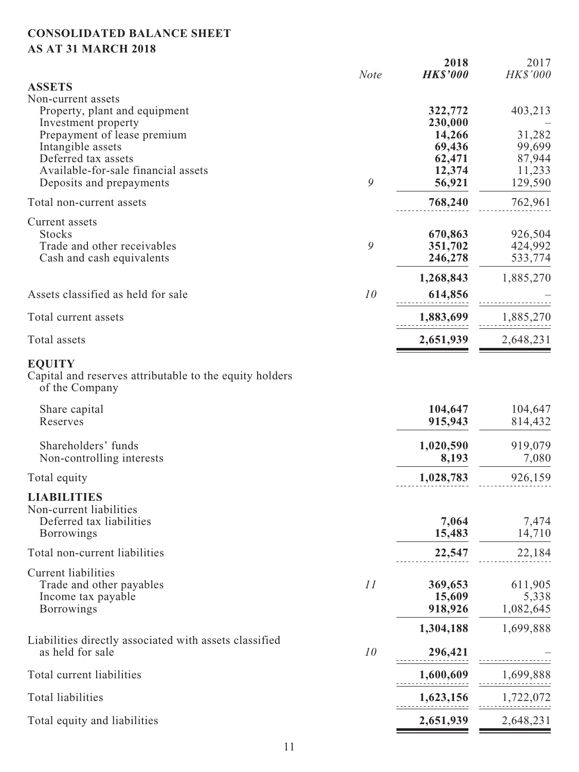# **CONSOLIDATED BALANCE SHEET AS AT 31 MARCH 2018**

|                                                                                            | <b>Note</b> | 2018<br><b>HK\$'000</b> | 2017<br>HK\$'000   |
|--------------------------------------------------------------------------------------------|-------------|-------------------------|--------------------|
| <b>ASSETS</b>                                                                              |             |                         |                    |
| Non-current assets<br>Property, plant and equipment                                        |             | 322,772                 | 403,213            |
| Investment property                                                                        |             | 230,000                 |                    |
| Prepayment of lease premium                                                                |             | 14,266                  | 31,282             |
| Intangible assets                                                                          |             | 69,436                  | 99,699             |
| Deferred tax assets                                                                        |             | 62,471                  | 87,944             |
| Available-for-sale financial assets                                                        |             | 12,374                  | 11,233             |
| Deposits and prepayments                                                                   | 9           | 56,921                  | 129,590            |
| Total non-current assets                                                                   |             | 768,240                 | 762,961            |
| Current assets                                                                             |             |                         |                    |
| <b>Stocks</b>                                                                              |             | 670,863                 | 926,504            |
| Trade and other receivables<br>Cash and cash equivalents                                   | 9           | 351,702<br>246,278      | 424,992<br>533,774 |
|                                                                                            |             |                         |                    |
| Assets classified as held for sale                                                         | 10          | 1,268,843<br>614,856    | 1,885,270          |
|                                                                                            |             |                         |                    |
| Total current assets                                                                       |             | 1,883,699               | 1,885,270          |
| Total assets                                                                               |             | 2,651,939               | 2,648,231          |
| <b>EQUITY</b><br>Capital and reserves attributable to the equity holders<br>of the Company |             |                         |                    |
| Share capital<br>Reserves                                                                  |             | 104,647<br>915,943      | 104,647<br>814,432 |
| Shareholders' funds                                                                        |             | 1,020,590               | 919,079            |
| Non-controlling interests                                                                  |             | 8,193                   | 7,080              |
| Total equity                                                                               |             | 1,028,783               | 926,159            |
| <b>LIABILITIES</b>                                                                         |             |                         |                    |
| Non-current liabilities                                                                    |             |                         |                    |
| Deferred tax liabilities<br><b>Borrowings</b>                                              |             | 7,064<br>15,483         | 7,474<br>14,710    |
| Total non-current liabilities                                                              |             | 22,547                  | 22,184             |
|                                                                                            |             |                         |                    |
| <b>Current liabilities</b><br>Trade and other payables                                     | 11          | 369,653                 | 611,905            |
| Income tax payable                                                                         |             | 15,609                  | 5,338              |
| <b>Borrowings</b>                                                                          |             | 918,926                 | 1,082,645          |
|                                                                                            |             | 1,304,188               | 1,699,888          |
| Liabilities directly associated with assets classified<br>as held for sale                 | 10          | 296,421                 |                    |
| Total current liabilities                                                                  |             |                         |                    |
|                                                                                            |             | 1,600,609               | 1,699,888          |
| <b>Total liabilities</b>                                                                   |             | 1,623,156               | 1,722,072          |
| Total equity and liabilities                                                               |             | 2,651,939               | 2,648,231          |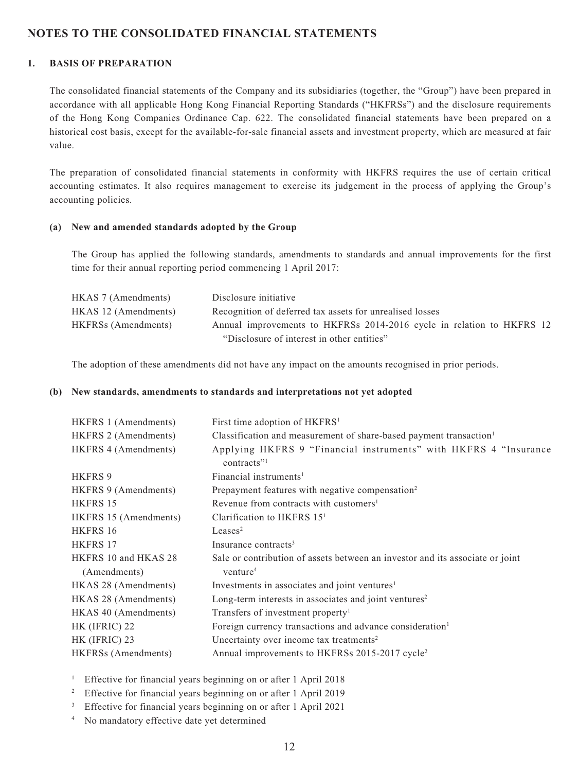### **NOTES TO THE CONSOLIDATED FINANCIAL STATEMENTS**

### **1. BASIS OF PREPARATION**

The consolidated financial statements of the Company and its subsidiaries (together, the "Group") have been prepared in accordance with all applicable Hong Kong Financial Reporting Standards ("HKFRSs") and the disclosure requirements of the Hong Kong Companies Ordinance Cap. 622. The consolidated financial statements have been prepared on a historical cost basis, except for the available-for-sale financial assets and investment property, which are measured at fair value.

The preparation of consolidated financial statements in conformity with HKFRS requires the use of certain critical accounting estimates. It also requires management to exercise its judgement in the process of applying the Group's accounting policies.

#### **(a) New and amended standards adopted by the Group**

The Group has applied the following standards, amendments to standards and annual improvements for the first time for their annual reporting period commencing 1 April 2017:

| HKAS 7 (Amendments)  | Disclosure initiative                                                 |
|----------------------|-----------------------------------------------------------------------|
| HKAS 12 (Amendments) | Recognition of deferred tax assets for unrealised losses              |
| HKFRSs (Amendments)  | Annual improvements to HKFRSs 2014-2016 cycle in relation to HKFRS 12 |
|                      | "Disclosure of interest in other entities"                            |

The adoption of these amendments did not have any impact on the amounts recognised in prior periods.

#### **(b) New standards, amendments to standards and interpretations not yet adopted**

| HKFRS 1 (Amendments)  | First time adoption of HKFRS <sup>1</sup>                                      |
|-----------------------|--------------------------------------------------------------------------------|
| HKFRS 2 (Amendments)  | Classification and measurement of share-based payment transaction <sup>1</sup> |
| HKFRS 4 (Amendments)  | Applying HKFRS 9 "Financial instruments" with HKFRS 4 "Insurance<br>contracts" |
| <b>HKFRS 9</b>        | Financial instruments <sup>1</sup>                                             |
| HKFRS 9 (Amendments)  | Prepayment features with negative compensation <sup>2</sup>                    |
| HKFRS 15              | Revenue from contracts with customers <sup>1</sup>                             |
| HKFRS 15 (Amendments) | Clarification to HKFRS $151$                                                   |
| HKFRS 16              | Leases <sup>2</sup>                                                            |
| <b>HKFRS 17</b>       | Insurance contracts <sup>3</sup>                                               |
| HKFRS 10 and HKAS 28  | Sale or contribution of assets between an investor and its associate or joint  |
| (Amendments)          | venture <sup>4</sup>                                                           |
| HKAS 28 (Amendments)  | Investments in associates and joint ventures <sup>1</sup>                      |
| HKAS 28 (Amendments)  | Long-term interests in associates and joint ventures <sup>2</sup>              |
| HKAS 40 (Amendments)  | Transfers of investment property <sup>1</sup>                                  |
| HK (IFRIC) 22         | Foreign currency transactions and advance consideration <sup>1</sup>           |
| HK (IFRIC) 23         | Uncertainty over income tax treatments <sup>2</sup>                            |
| HKFRSs (Amendments)   | Annual improvements to HKFRSs 2015-2017 cycle <sup>2</sup>                     |

<sup>1</sup> Effective for financial years beginning on or after 1 April 2018

<sup>2</sup> Effective for financial years beginning on or after 1 April 2019

3 Effective for financial years beginning on or after 1 April 2021

4 No mandatory effective date yet determined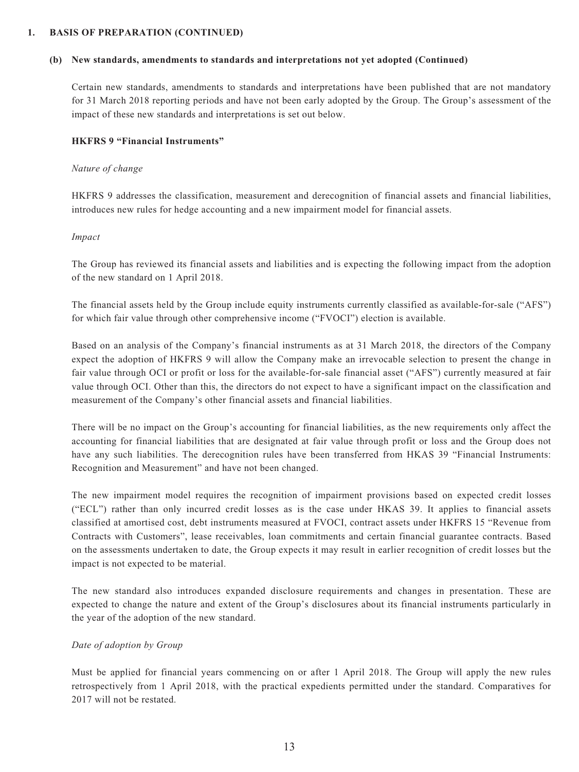#### **1. BASIS OF PREPARATION (CONTINUED)**

#### **(b) New standards, amendments to standards and interpretations not yet adopted (Continued)**

Certain new standards, amendments to standards and interpretations have been published that are not mandatory for 31 March 2018 reporting periods and have not been early adopted by the Group. The Group's assessment of the impact of these new standards and interpretations is set out below.

#### **HKFRS 9 "Financial Instruments"**

#### *Nature of change*

HKFRS 9 addresses the classification, measurement and derecognition of financial assets and financial liabilities, introduces new rules for hedge accounting and a new impairment model for financial assets.

#### *Impact*

The Group has reviewed its financial assets and liabilities and is expecting the following impact from the adoption of the new standard on 1 April 2018.

The financial assets held by the Group include equity instruments currently classified as available-for-sale ("AFS") for which fair value through other comprehensive income ("FVOCI") election is available.

Based on an analysis of the Company's financial instruments as at 31 March 2018, the directors of the Company expect the adoption of HKFRS 9 will allow the Company make an irrevocable selection to present the change in fair value through OCI or profit or loss for the available-for-sale financial asset ("AFS") currently measured at fair value through OCI. Other than this, the directors do not expect to have a significant impact on the classification and measurement of the Company's other financial assets and financial liabilities.

There will be no impact on the Group's accounting for financial liabilities, as the new requirements only affect the accounting for financial liabilities that are designated at fair value through profit or loss and the Group does not have any such liabilities. The derecognition rules have been transferred from HKAS 39 "Financial Instruments: Recognition and Measurement" and have not been changed.

The new impairment model requires the recognition of impairment provisions based on expected credit losses ("ECL") rather than only incurred credit losses as is the case under HKAS 39. It applies to financial assets classified at amortised cost, debt instruments measured at FVOCI, contract assets under HKFRS 15 "Revenue from Contracts with Customers", lease receivables, loan commitments and certain financial guarantee contracts. Based on the assessments undertaken to date, the Group expects it may result in earlier recognition of credit losses but the impact is not expected to be material.

The new standard also introduces expanded disclosure requirements and changes in presentation. These are expected to change the nature and extent of the Group's disclosures about its financial instruments particularly in the year of the adoption of the new standard.

#### *Date of adoption by Group*

Must be applied for financial years commencing on or after 1 April 2018. The Group will apply the new rules retrospectively from 1 April 2018, with the practical expedients permitted under the standard. Comparatives for 2017 will not be restated.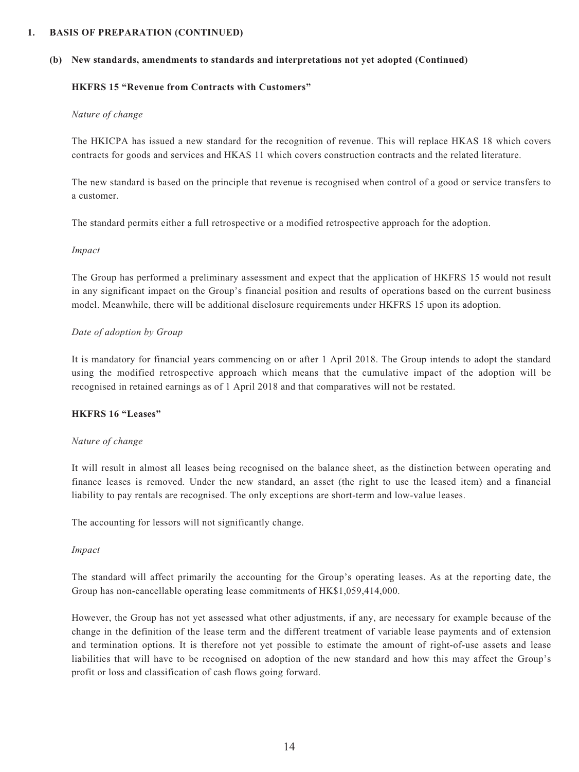#### **1. BASIS OF PREPARATION (CONTINUED)**

#### **(b) New standards, amendments to standards and interpretations not yet adopted (Continued)**

#### **HKFRS 15 "Revenue from Contracts with Customers"**

#### *Nature of change*

The HKICPA has issued a new standard for the recognition of revenue. This will replace HKAS 18 which covers contracts for goods and services and HKAS 11 which covers construction contracts and the related literature.

The new standard is based on the principle that revenue is recognised when control of a good or service transfers to a customer.

The standard permits either a full retrospective or a modified retrospective approach for the adoption.

#### *Impact*

The Group has performed a preliminary assessment and expect that the application of HKFRS 15 would not result in any significant impact on the Group's financial position and results of operations based on the current business model. Meanwhile, there will be additional disclosure requirements under HKFRS 15 upon its adoption.

#### *Date of adoption by Group*

It is mandatory for financial years commencing on or after 1 April 2018. The Group intends to adopt the standard using the modified retrospective approach which means that the cumulative impact of the adoption will be recognised in retained earnings as of 1 April 2018 and that comparatives will not be restated.

#### **HKFRS 16 "Leases"**

#### *Nature of change*

It will result in almost all leases being recognised on the balance sheet, as the distinction between operating and finance leases is removed. Under the new standard, an asset (the right to use the leased item) and a financial liability to pay rentals are recognised. The only exceptions are short-term and low-value leases.

The accounting for lessors will not significantly change.

#### *Impact*

The standard will affect primarily the accounting for the Group's operating leases. As at the reporting date, the Group has non-cancellable operating lease commitments of HK\$1,059,414,000.

However, the Group has not yet assessed what other adjustments, if any, are necessary for example because of the change in the definition of the lease term and the different treatment of variable lease payments and of extension and termination options. It is therefore not yet possible to estimate the amount of right-of-use assets and lease liabilities that will have to be recognised on adoption of the new standard and how this may affect the Group's profit or loss and classification of cash flows going forward.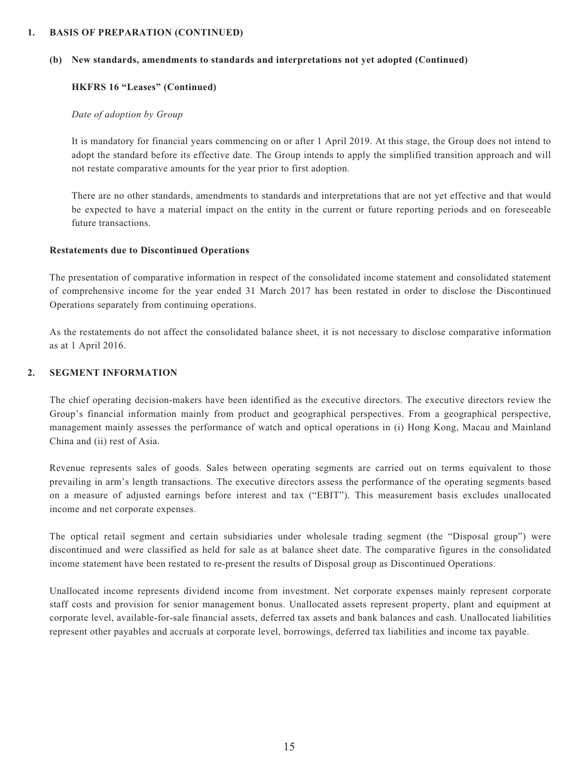#### **1. BASIS OF PREPARATION (CONTINUED)**

#### **(b) New standards, amendments to standards and interpretations not yet adopted (Continued)**

#### **HKFRS 16 "Leases" (Continued)**

#### *Date of adoption by Group*

It is mandatory for financial years commencing on or after 1 April 2019. At this stage, the Group does not intend to adopt the standard before its effective date. The Group intends to apply the simplified transition approach and will not restate comparative amounts for the year prior to first adoption.

There are no other standards, amendments to standards and interpretations that are not yet effective and that would be expected to have a material impact on the entity in the current or future reporting periods and on foreseeable future transactions.

#### **Restatements due to Discontinued Operations**

The presentation of comparative information in respect of the consolidated income statement and consolidated statement of comprehensive income for the year ended 31 March 2017 has been restated in order to disclose the Discontinued Operations separately from continuing operations.

As the restatements do not affect the consolidated balance sheet, it is not necessary to disclose comparative information as at 1 April 2016.

#### **2. SEGMENT INFORMATION**

The chief operating decision-makers have been identified as the executive directors. The executive directors review the Group's financial information mainly from product and geographical perspectives. From a geographical perspective, management mainly assesses the performance of watch and optical operations in (i) Hong Kong, Macau and Mainland China and (ii) rest of Asia.

Revenue represents sales of goods. Sales between operating segments are carried out on terms equivalent to those prevailing in arm's length transactions. The executive directors assess the performance of the operating segments based on a measure of adjusted earnings before interest and tax ("EBIT"). This measurement basis excludes unallocated income and net corporate expenses.

The optical retail segment and certain subsidiaries under wholesale trading segment (the "Disposal group") were discontinued and were classified as held for sale as at balance sheet date. The comparative figures in the consolidated income statement have been restated to re-present the results of Disposal group as Discontinued Operations.

Unallocated income represents dividend income from investment. Net corporate expenses mainly represent corporate staff costs and provision for senior management bonus. Unallocated assets represent property, plant and equipment at corporate level, available-for-sale financial assets, deferred tax assets and bank balances and cash. Unallocated liabilities represent other payables and accruals at corporate level, borrowings, deferred tax liabilities and income tax payable.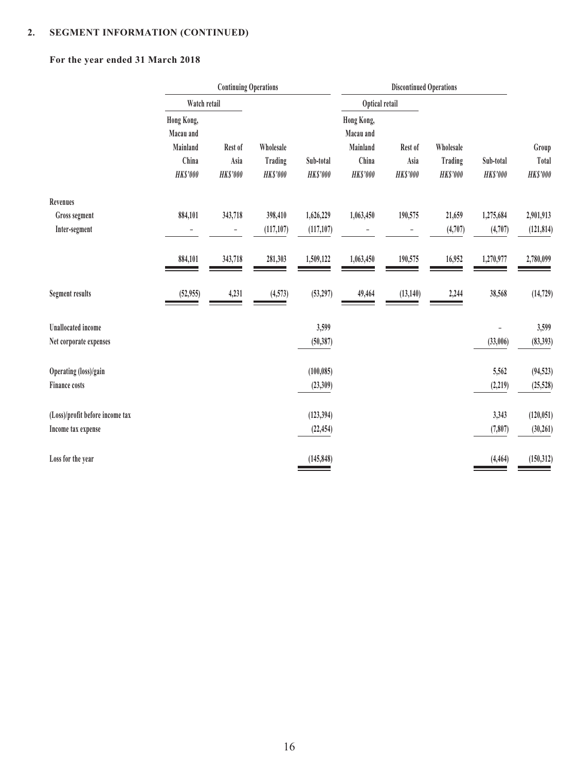# **For the year ended 31 March 2018**

|                                 | Watch retail             |                         |                           |                             | Optical retail           |                         |                           |                              |                          |
|---------------------------------|--------------------------|-------------------------|---------------------------|-----------------------------|--------------------------|-------------------------|---------------------------|------------------------------|--------------------------|
|                                 | Hong Kong,<br>Macau and  |                         |                           |                             | Hong Kong,<br>Macau and  |                         |                           |                              |                          |
|                                 | Mainland                 | Rest of                 | Wholesale                 |                             | Mainland                 | Rest of                 | Wholesale                 |                              | Group                    |
|                                 | China<br><b>HK\$'000</b> | Asia<br><b>HK\$'000</b> | Trading<br><b>HKS'000</b> | Sub-total<br><b>HKS'000</b> | China<br><b>HK\$'000</b> | Asia<br><b>HK\$'000</b> | Trading<br><b>HKS'000</b> | Sub-total<br><b>HK\$'000</b> | Total<br><b>HK\$'000</b> |
| Revenues                        |                          |                         |                           |                             |                          |                         |                           |                              |                          |
| Gross segment                   | 884,101                  | 343,718                 | 398,410                   | 1,626,229                   | 1,063,450                | 190,575                 | 21,659                    | 1,275,684                    | 2,901,913                |
| Inter-segment                   |                          | $\qquad \qquad -$       | (117, 107)                | (117, 107)                  |                          |                         | (4,707)                   | (4,707)                      | (121, 814)               |
|                                 | 884,101                  | 343,718                 | 281,303                   | 1,509,122                   | 1,063,450                | 190,575                 | 16,952                    | 1,270,977                    | 2,780,099                |
| <b>Segment results</b>          | (52, 955)                | 4,231                   | (4,573)                   | (53, 297)                   | 49,464                   | (13, 140)               | 2,244                     | 38,568                       | (14, 729)                |
| <b>Unallocated</b> income       |                          |                         |                           | 3,599                       |                          |                         |                           |                              | 3,599                    |
| Net corporate expenses          |                          |                         |                           | (50, 387)                   |                          |                         |                           | (33,006)                     | (83, 393)                |
| Operating (loss)/gain           |                          |                         |                           | (100, 085)                  |                          |                         |                           | 5,562                        | (94, 523)                |
| <b>Finance costs</b>            |                          |                         |                           | (23,309)                    |                          |                         |                           | (2, 219)                     | (25, 528)                |
| (Loss)/profit before income tax |                          |                         |                           | (123, 394)                  |                          |                         |                           | 3,343                        | (120, 051)               |
| Income tax expense              |                          |                         |                           | (22, 454)                   |                          |                         |                           | (7, 807)                     | (30, 261)                |
| Loss for the year               |                          |                         |                           | (145, 848)                  |                          |                         |                           | (4, 464)                     | (150, 312)               |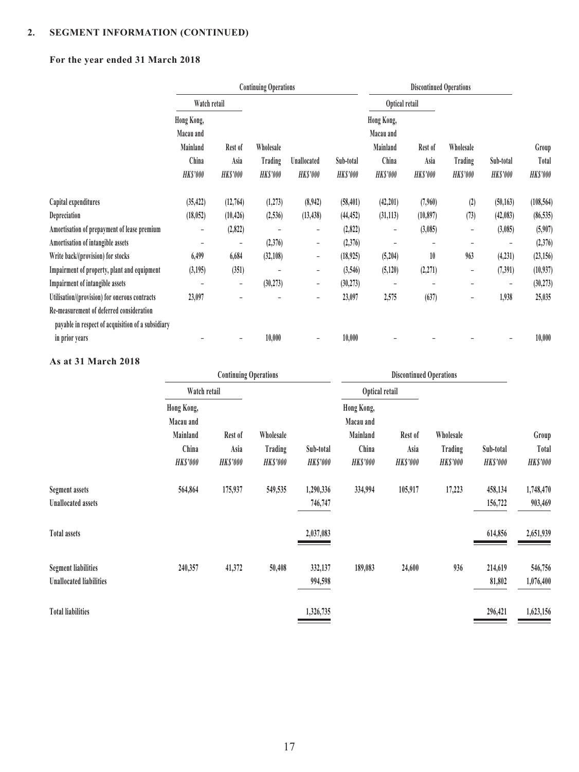# **For the year ended 31 March 2018**

|                                                   |                                                                 |                                    | <b>Continuing Operations</b>            |                                |                              | <b>Discontinued Operations</b>                                  |                                    |                                         |                              |                                   |
|---------------------------------------------------|-----------------------------------------------------------------|------------------------------------|-----------------------------------------|--------------------------------|------------------------------|-----------------------------------------------------------------|------------------------------------|-----------------------------------------|------------------------------|-----------------------------------|
|                                                   | Watch retail                                                    |                                    |                                         |                                |                              | Optical retail                                                  |                                    |                                         |                              |                                   |
|                                                   | Hong Kong,<br>Macau and<br>Mainland<br>China<br><b>HK\$'000</b> | Rest of<br>Asia<br><b>HK\$'000</b> | Wholesale<br>Trading<br><b>HK\$'000</b> | Unallocated<br><b>HK\$'000</b> | Sub-total<br><b>HK\$'000</b> | Hong Kong,<br>Macau and<br>Mainland<br>China<br><b>HK\$'000</b> | Rest of<br>Asia<br><b>HK\$'000</b> | Wholesale<br>Trading<br><b>HK\$'000</b> | Sub-total<br><b>HK\$'000</b> | Group<br>Total<br><b>HK\$'000</b> |
|                                                   |                                                                 |                                    |                                         |                                |                              |                                                                 |                                    |                                         |                              |                                   |
| Capital expenditures                              | (35, 422)                                                       | (12,764)                           | (1,273)                                 | (8,942)                        | (58, 401)                    | (42, 201)                                                       | (7,960)                            | (2)                                     | (50, 163)                    | (108, 564)                        |
| Depreciation                                      | (18, 052)                                                       | (10, 426)                          | (2,536)                                 | (13, 438)                      | (44, 452)                    | (31, 113)                                                       | (10, 897)                          | (73)                                    | (42,083)                     | (86, 535)                         |
| Amortisation of prepayment of lease premium       | $\overline{\phantom{0}}$                                        | (2,822)                            |                                         | -                              | (2,822)                      | $\qquad \qquad -$                                               | (3,085)                            | $\overline{\phantom{0}}$                | (3,085)                      | (5,907)                           |
| Amortisation of intangible assets                 |                                                                 | $\overline{\phantom{0}}$           | (2,376)                                 | -                              | (2,376)                      |                                                                 |                                    |                                         |                              | (2,376)                           |
| Write back/(provision) for stocks                 | 6,499                                                           | 6,684                              | (32,108)                                | $\qquad \qquad -$              | (18, 925)                    | (5,204)                                                         | 10                                 | 963                                     | (4, 231)                     | (23, 156)                         |
| Impairment of property, plant and equipment       | (3,195)                                                         | (351)                              |                                         | $\qquad \qquad -$              | (3,546)                      | (5, 120)                                                        | (2, 271)                           | -                                       | (7, 391)                     | (10, 937)                         |
| Impairment of intangible assets                   |                                                                 | $\overline{\phantom{a}}$           | (30, 273)                               | $\overline{\phantom{0}}$       | (30, 273)                    |                                                                 |                                    |                                         | $\overline{\phantom{a}}$     | (30, 273)                         |
| Utilisation/(provision) for onerous contracts     | 23,097                                                          |                                    |                                         | -                              | 23,097                       | 2,575                                                           | (637)                              | -                                       | 1,938                        | 25,035                            |
| Re-measurement of deferred consideration          |                                                                 |                                    |                                         |                                |                              |                                                                 |                                    |                                         |                              |                                   |
| payable in respect of acquisition of a subsidiary |                                                                 |                                    |                                         |                                |                              |                                                                 |                                    |                                         |                              |                                   |
| in prior years                                    |                                                                 | $\qquad \qquad -$                  | 10,000                                  |                                | 10,000                       |                                                                 |                                    |                                         |                              | 10,000                            |

### **As at 31 March 2018**

|                                |                 | <b>Continuing Operations</b> |                 |                |                 | <b>Discontinued Operations</b> |                |                |                 |  |
|--------------------------------|-----------------|------------------------------|-----------------|----------------|-----------------|--------------------------------|----------------|----------------|-----------------|--|
|                                | Watch retail    |                              |                 |                | Optical retail  |                                |                |                |                 |  |
|                                | Hong Kong,      |                              |                 |                | Hong Kong,      |                                |                |                |                 |  |
|                                | Macau and       |                              |                 |                | Macau and       |                                |                |                |                 |  |
|                                | Mainland        | Rest of                      | Wholesale       |                | Mainland        | Rest of                        | Wholesale      |                | Group           |  |
|                                | China           | Asia                         | Trading         | Sub-total      | China           | Asia                           | Trading        | Sub-total      | Total           |  |
|                                | <b>HK\$'000</b> | <b>HK\$'000</b>              | <b>HK\$'000</b> | <b>HKS'000</b> | <b>HK\$'000</b> | <b>HK\$'000</b>                | <b>HKS'000</b> | <b>HKS'000</b> | <b>HK\$'000</b> |  |
| <b>Segment assets</b>          | 564,864         | 175,937                      | 549,535         | 1,290,336      | 334,994         | 105,917                        | 17,223         | 458,134        | 1,748,470       |  |
| <b>Unallocated assets</b>      |                 |                              |                 | 746,747        |                 |                                |                | 156,722        | 903,469         |  |
| <b>Total assets</b>            |                 |                              |                 | 2,037,083      |                 |                                |                | 614,856        | 2,651,939       |  |
| <b>Segment liabilities</b>     | 240,357         | 41,372                       | 50,408          | 332,137        | 189,083         | 24,600                         | 936            | 214,619        | 546,756         |  |
| <b>Unallocated liabilities</b> |                 |                              |                 | 994,598        |                 |                                |                | 81,802         | 1,076,400       |  |
| <b>Total liabilities</b>       |                 |                              |                 | 1,326,735      |                 |                                |                | 296,421        | 1,623,156       |  |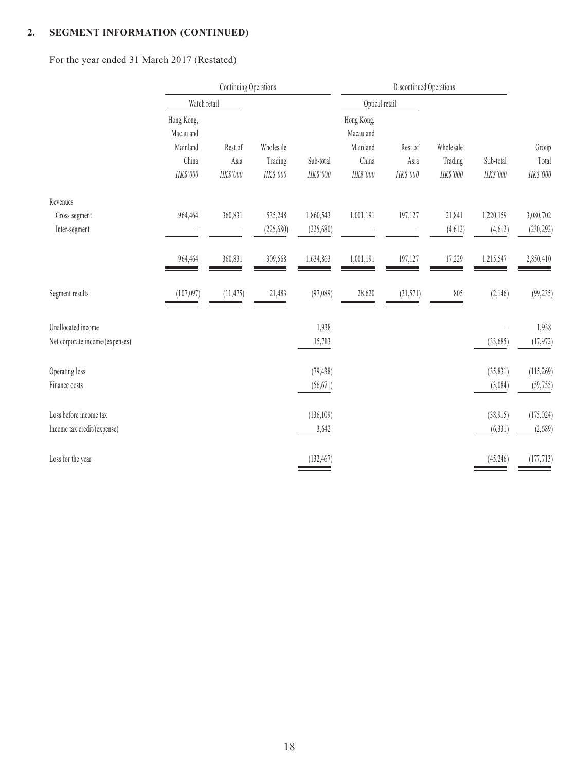# For the year ended 31 March 2017 (Restated)

|                                            | Watch retail                        |                  |                       |                         | Optical retail                      |                  |                     |                       |                         |
|--------------------------------------------|-------------------------------------|------------------|-----------------------|-------------------------|-------------------------------------|------------------|---------------------|-----------------------|-------------------------|
|                                            | Hong Kong,<br>Macau and<br>Mainland | Rest of          | Wholesale             |                         | Hong Kong,<br>Macau and<br>Mainland | Rest of          | Wholesale           |                       | Group                   |
|                                            | China<br>HK\$'000                   | Asia<br>HK\$'000 | Trading<br>HK\$'000   | Sub-total<br>HK\$'000   | China<br>HK\$'000                   | Asia<br>HK\$'000 | Trading<br>HK\$'000 | Sub-total<br>HK\$'000 | Total<br>HK\$'000       |
|                                            |                                     |                  |                       |                         |                                     |                  |                     |                       |                         |
| Revenues<br>Gross segment<br>Inter-segment | 964,464                             | 360,831          | 535,248<br>(225, 680) | 1,860,543<br>(225, 680) | 1,001,191                           | 197,127          | 21,841<br>(4, 612)  | 1,220,159<br>(4,612)  | 3,080,702<br>(230, 292) |
|                                            | 964,464                             | 360,831          | 309,568               | 1,634,863               | 1,001,191                           | 197,127          | 17,229              | 1,215,547             | 2,850,410               |
| Segment results                            | (107,097)                           | (11, 475)        | 21,483                | (97,089)                | 28,620                              | (31,571)         | 805                 | (2,146)               | (99, 235)               |
| Unallocated income                         |                                     |                  |                       | 1,938                   |                                     |                  |                     |                       | 1,938                   |
| Net corporate income/(expenses)            |                                     |                  |                       | 15,713                  |                                     |                  |                     | (33,685)              | (17, 972)               |
| Operating loss<br>Finance costs            |                                     |                  |                       | (79, 438)<br>(56, 671)  |                                     |                  |                     | (35, 831)<br>(3,084)  | (115,269)<br>(59, 755)  |
| Loss before income tax                     |                                     |                  |                       | (136,109)               |                                     |                  |                     | (38,915)              | (175, 024)              |
| Income tax credit/(expense)                |                                     |                  |                       | 3,642                   |                                     |                  |                     | (6, 331)              | (2,689)                 |
| Loss for the year                          |                                     |                  |                       | (132, 467)              |                                     |                  |                     | (45,246)              | (177, 713)              |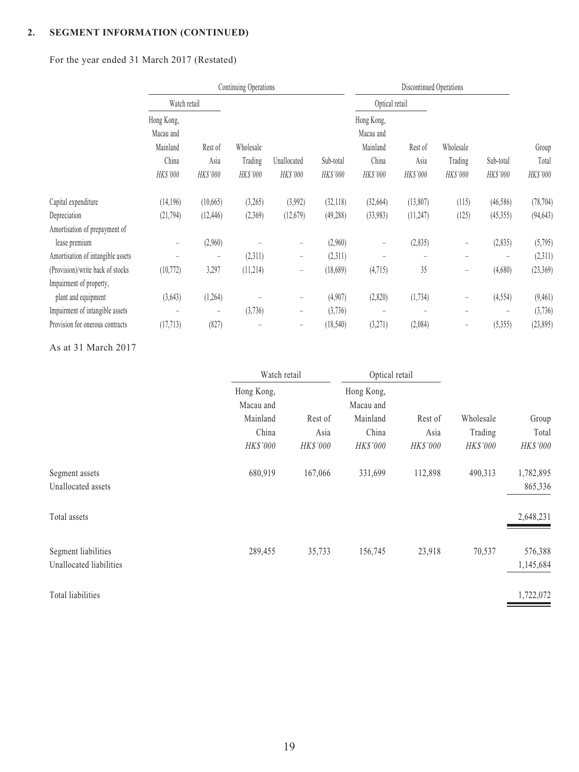# For the year ended 31 March 2017 (Restated)

|                                   | Continuing Operations                                    |                             |                                  |                         |                       | Discontinued Operations                                  |                             |                                  |                          |                            |
|-----------------------------------|----------------------------------------------------------|-----------------------------|----------------------------------|-------------------------|-----------------------|----------------------------------------------------------|-----------------------------|----------------------------------|--------------------------|----------------------------|
|                                   | Watch retail                                             |                             |                                  |                         |                       |                                                          | Optical retail              |                                  |                          |                            |
|                                   | Hong Kong,<br>Macau and<br>Mainland<br>China<br>HK\$'000 | Rest of<br>Asia<br>HK\$'000 | Wholesale<br>Trading<br>HK\$'000 | Unallocated<br>HK\$'000 | Sub-total<br>HK\$'000 | Hong Kong,<br>Macau and<br>Mainland<br>China<br>HK\$'000 | Rest of<br>Asia<br>HK\$'000 | Wholesale<br>Trading<br>HK\$'000 | Sub-total<br>HK\$'000    | Group<br>Total<br>HK\$'000 |
| Capital expenditure               | (14, 196)                                                | (10,665)                    | (3,265)                          | (3,992)                 | (32, 118)             | (32,664)                                                 | (13,807)                    | (115)                            | (46,586)                 | (78, 704)                  |
| Depreciation                      | (21, 794)                                                | (12, 446)                   | (2,369)                          | (12,679)                | (49, 288)             | (33,983)                                                 | (11, 247)                   | (125)                            | (45, 355)                | (94, 643)                  |
| Amortisation of prepayment of     |                                                          |                             |                                  |                         |                       |                                                          |                             |                                  |                          |                            |
| lease premium                     | $\overline{\phantom{m}}$                                 | (2,960)                     |                                  | $\qquad \qquad -$       | (2,960)               | -                                                        | (2,835)                     | -                                | (2,835)                  | (5,795)                    |
| Amortisation of intangible assets | $\overline{\phantom{0}}$                                 | $\qquad \qquad -$           | (2,311)                          | $\qquad \qquad -$       | (2,311)               |                                                          |                             |                                  | $\overline{\phantom{m}}$ | (2,311)                    |
| (Provision)/write back of stocks  | (10, 772)                                                | 3,297                       | (11,214)                         | $\qquad \qquad -$       | (18,689)              | (4,715)                                                  | 35                          | $\qquad \qquad -$                | (4,680)                  | (23, 369)                  |
| Impairment of property,           |                                                          |                             |                                  |                         |                       |                                                          |                             |                                  |                          |                            |
| plant and equipment               | (3, 643)                                                 | (1,264)                     |                                  | $\qquad \qquad -$       | (4,907)               | (2,820)                                                  | (1, 734)                    | -                                | (4, 554)                 | (9, 461)                   |
| Impairment of intangible assets   | $\overline{\phantom{m}}$                                 | $\overline{\phantom{m}}$    | (3,736)                          | -                       | (3,736)               |                                                          |                             |                                  | $\overline{\phantom{m}}$ | (3,736)                    |
| Provision for onerous contracts   | (17, 713)                                                | (827)                       | $\overline{\phantom{m}}$         | $\qquad \qquad -$       | (18, 540)             | (3,271)                                                  | (2,084)                     | $\overline{\phantom{m}}$         | (5, 355)                 | (23, 895)                  |

### As at 31 March 2017

|                         | Watch retail            |                 | Optical retail          |          |           |           |
|-------------------------|-------------------------|-----------------|-------------------------|----------|-----------|-----------|
|                         | Hong Kong,<br>Macau and |                 | Hong Kong,<br>Macau and |          |           |           |
|                         | Mainland                | Rest of         | Mainland                | Rest of  | Wholesale | Group     |
|                         | China                   | Asia            | China                   | Asia     | Trading   | Total     |
|                         | HK\$'000                | <b>HK\$'000</b> | <b>HK\$'000</b>         | HK\$'000 | HK\$'000  | HK\$'000  |
| Segment assets          | 680,919                 | 167,066         | 331,699                 | 112,898  | 490,313   | 1,782,895 |
| Unallocated assets      |                         |                 |                         |          |           | 865,336   |
| Total assets            |                         |                 |                         |          |           | 2,648,231 |
| Segment liabilities     | 289,455                 | 35,733          | 156,745                 | 23,918   | 70,537    | 576,388   |
| Unallocated liabilities |                         |                 |                         |          |           | 1,145,684 |
| Total liabilities       |                         |                 |                         |          |           | 1,722,072 |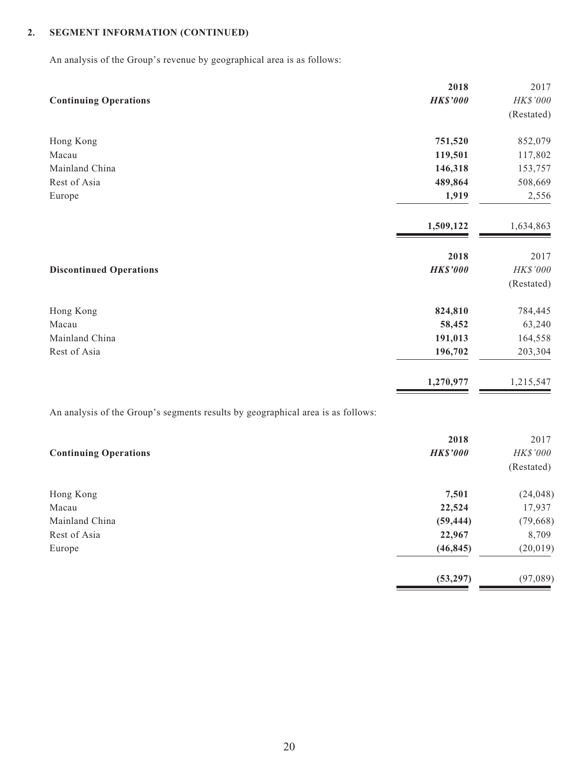An analysis of the Group's revenue by geographical area is as follows:

|                                | 2018            | 2017       |
|--------------------------------|-----------------|------------|
| <b>Continuing Operations</b>   | <b>HK\$'000</b> | HK\$'000   |
|                                |                 | (Restated) |
| Hong Kong                      | 751,520         | 852,079    |
| Macau                          | 119,501         | 117,802    |
| Mainland China                 | 146,318         | 153,757    |
| Rest of Asia                   | 489,864         | 508,669    |
| Europe                         | 1,919           | 2,556      |
|                                | 1,509,122       | 1,634,863  |
|                                | 2018            | 2017       |
| <b>Discontinued Operations</b> | <b>HK\$'000</b> | HK\$'000   |
|                                |                 | (Restated) |
| Hong Kong                      | 824,810         | 784,445    |
| Macau                          | 58,452          | 63,240     |
| Mainland China                 | 191,013         | 164,558    |
| Rest of Asia                   | 196,702         | 203,304    |
|                                | 1,270,977       | 1,215,547  |

An analysis of the Group's segments results by geographical area is as follows:

|                              | 2018            | 2017       |
|------------------------------|-----------------|------------|
| <b>Continuing Operations</b> | <b>HK\$'000</b> | HK\$'000   |
|                              |                 | (Restated) |
| Hong Kong                    | 7,501           | (24, 048)  |
| Macau                        | 22,524          | 17,937     |
| Mainland China               | (59, 444)       | (79, 668)  |
| Rest of Asia                 | 22,967          | 8,709      |
| Europe                       | (46, 845)       | (20, 019)  |
|                              | (53, 297)       | (97,089)   |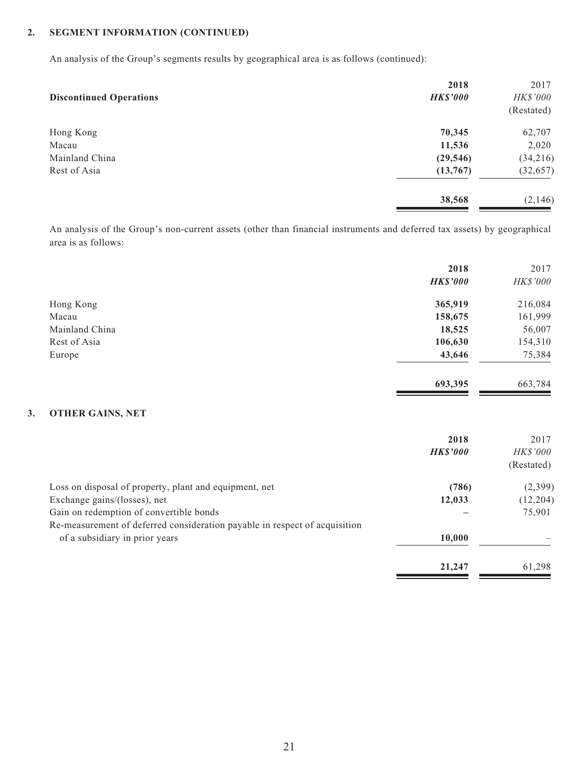An analysis of the Group's segments results by geographical area is as follows (continued):

| 2018            | 2017       |
|-----------------|------------|
| <b>HK\$'000</b> | HK\$'000   |
|                 | (Restated) |
| 70,345          | 62,707     |
| 11,536          | 2,020      |
| (29, 546)       | (34,216)   |
| (13,767)        | (32, 657)  |
| 38,568          | (2,146)    |
|                 |            |

An analysis of the Group's non-current assets (other than financial instruments and deferred tax assets) by geographical area is as follows:

| 2018<br><b>HK\$'000</b> | 2017<br>HK\$'000 |
|-------------------------|------------------|
| 365,919                 | 216,084          |
| 158,675                 | 161,999          |
| 18,525                  | 56,007           |
| 106,630                 | 154,310          |
| 43,646                  | 75,384           |
| 693,395                 | 663,784          |
|                         |                  |

### **3. OTHER GAINS, NET**

|                                                                            | 2018            | 2017            |
|----------------------------------------------------------------------------|-----------------|-----------------|
|                                                                            | <b>HK\$'000</b> | <i>HK\$'000</i> |
|                                                                            |                 | (Restated)      |
| Loss on disposal of property, plant and equipment, net                     | (786)           | (2,399)         |
| Exchange gains/(losses), net                                               | 12,033          | (12, 204)       |
| Gain on redemption of convertible bonds                                    |                 | 75,901          |
| Re-measurement of deferred consideration payable in respect of acquisition |                 |                 |
| of a subsidiary in prior years                                             | 10,000          |                 |
|                                                                            | 21,247          | 61,298          |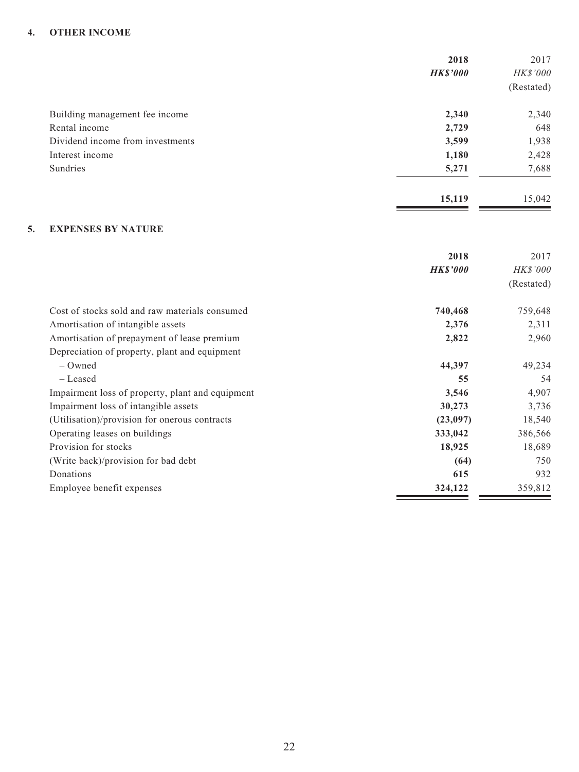### **4. OTHER INCOME**

|                                  | 2018<br><b>HK\$'000</b> | 2017<br>HK\$'000<br>(Restated) |
|----------------------------------|-------------------------|--------------------------------|
| Building management fee income   | 2,340                   | 2,340                          |
| Rental income                    | 2,729                   | 648                            |
| Dividend income from investments | 3,599                   | 1,938                          |
| Interest income                  | 1,180                   | 2,428                          |
| Sundries                         | 5,271                   | 7,688                          |
|                                  | 15,119                  | 15,042                         |

### **5. EXPENSES BY NATURE**

|                                                  | 2018            | 2017            |
|--------------------------------------------------|-----------------|-----------------|
|                                                  | <b>HK\$'000</b> | <b>HK\$'000</b> |
|                                                  |                 | (Restated)      |
| Cost of stocks sold and raw materials consumed   | 740,468         | 759,648         |
| Amortisation of intangible assets                | 2,376           | 2,311           |
| Amortisation of prepayment of lease premium      | 2,822           | 2,960           |
| Depreciation of property, plant and equipment    |                 |                 |
| $-$ Owned                                        | 44,397          | 49,234          |
| – Leased                                         | 55              | 54              |
| Impairment loss of property, plant and equipment | 3,546           | 4,907           |
| Impairment loss of intangible assets             | 30,273          | 3,736           |
| (Utilisation)/provision for onerous contracts    | (23,097)        | 18,540          |
| Operating leases on buildings                    | 333,042         | 386,566         |
| Provision for stocks                             | 18,925          | 18,689          |
| (Write back)/provision for bad debt              | (64)            | 750             |
| Donations                                        | 615             | 932             |
| Employee benefit expenses                        | 324,122         | 359,812         |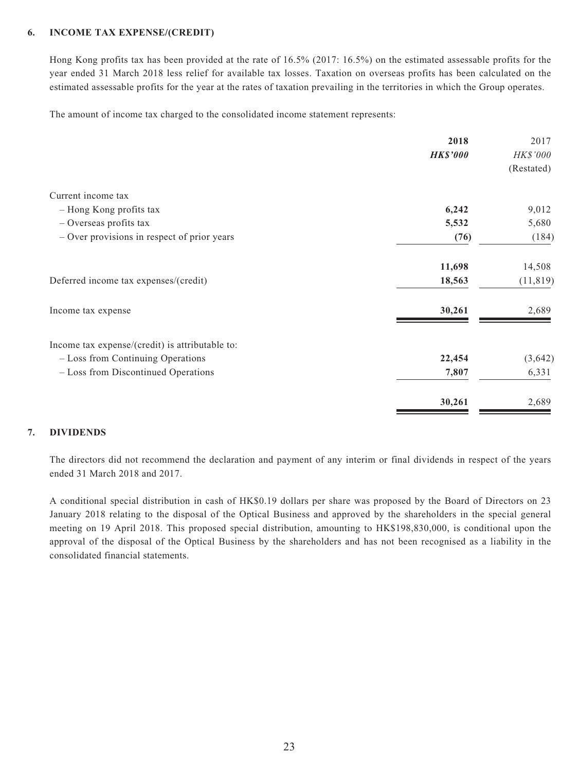#### **6. INCOME TAX EXPENSE/(CREDIT)**

Hong Kong profits tax has been provided at the rate of 16.5% (2017: 16.5%) on the estimated assessable profits for the year ended 31 March 2018 less relief for available tax losses. Taxation on overseas profits has been calculated on the estimated assessable profits for the year at the rates of taxation prevailing in the territories in which the Group operates.

The amount of income tax charged to the consolidated income statement represents:

|                                                 | 2018            | 2017       |
|-------------------------------------------------|-----------------|------------|
|                                                 | <b>HK\$'000</b> | HK\$'000   |
|                                                 |                 | (Restated) |
| Current income tax                              |                 |            |
| - Hong Kong profits tax                         | 6,242           | 9,012      |
| $-$ Overseas profits tax                        | 5,532           | 5,680      |
| - Over provisions in respect of prior years     | (76)            | (184)      |
|                                                 | 11,698          | 14,508     |
| Deferred income tax expenses/(credit)           | 18,563          | (11, 819)  |
| Income tax expense                              | 30,261          | 2,689      |
| Income tax expense/(credit) is attributable to: |                 |            |
| - Loss from Continuing Operations               | 22,454          | (3, 642)   |
| - Loss from Discontinued Operations             | 7,807           | 6,331      |
|                                                 | 30,261          | 2,689      |

### **7. DIVIDENDS**

The directors did not recommend the declaration and payment of any interim or final dividends in respect of the years ended 31 March 2018 and 2017.

A conditional special distribution in cash of HK\$0.19 dollars per share was proposed by the Board of Directors on 23 January 2018 relating to the disposal of the Optical Business and approved by the shareholders in the special general meeting on 19 April 2018. This proposed special distribution, amounting to HK\$198,830,000, is conditional upon the approval of the disposal of the Optical Business by the shareholders and has not been recognised as a liability in the consolidated financial statements.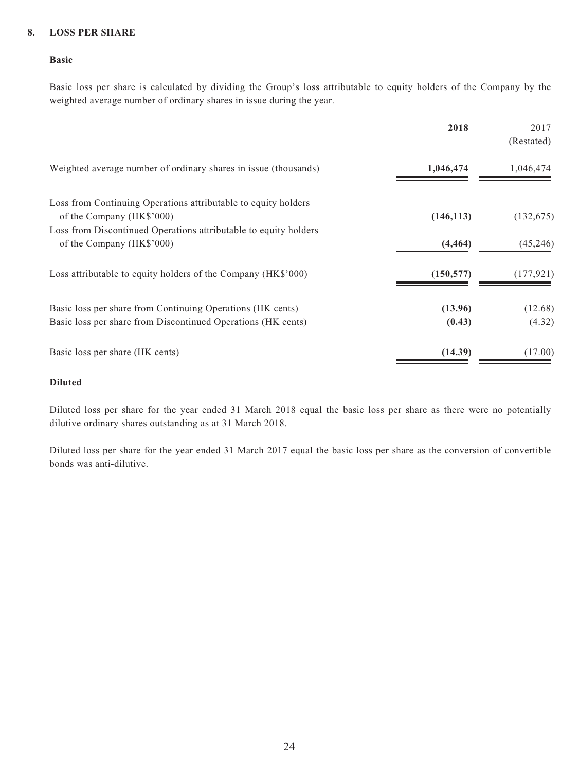### **8. LOSS PER SHARE**

#### **Basic**

Basic loss per share is calculated by dividing the Group's loss attributable to equity holders of the Company by the weighted average number of ordinary shares in issue during the year.

|                                                                                             | 2018       | 2017<br>(Restated) |
|---------------------------------------------------------------------------------------------|------------|--------------------|
| Weighted average number of ordinary shares in issue (thousands)                             | 1,046,474  | 1,046,474          |
| Loss from Continuing Operations attributable to equity holders<br>of the Company (HK\$'000) | (146, 113) | (132, 675)         |
| Loss from Discontinued Operations attributable to equity holders                            |            |                    |
| of the Company (HK\$'000)                                                                   | (4, 464)   | (45,246)           |
| Loss attributable to equity holders of the Company (HK\$'000)                               | (150, 577) | (177, 921)         |
| Basic loss per share from Continuing Operations (HK cents)                                  | (13.96)    | (12.68)            |
| Basic loss per share from Discontinued Operations (HK cents)                                | (0.43)     | (4.32)             |
| Basic loss per share (HK cents)                                                             | (14.39)    | (17.00)            |
|                                                                                             |            |                    |

### **Diluted**

Diluted loss per share for the year ended 31 March 2018 equal the basic loss per share as there were no potentially dilutive ordinary shares outstanding as at 31 March 2018.

Diluted loss per share for the year ended 31 March 2017 equal the basic loss per share as the conversion of convertible bonds was anti-dilutive.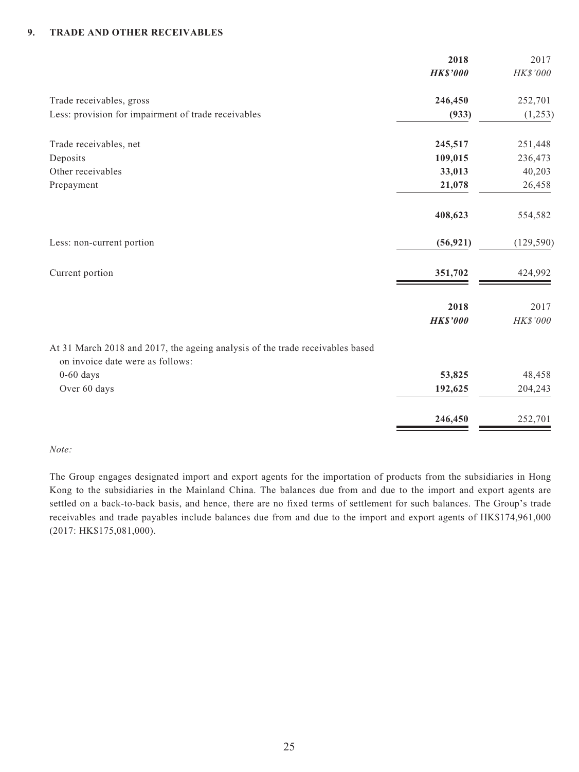### **9. TRADE AND OTHER RECEIVABLES**

| 2018            | 2017       |
|-----------------|------------|
| <b>HK\$'000</b> | HK\$'000   |
| 246,450         | 252,701    |
| (933)           | (1,253)    |
| 245,517         | 251,448    |
| 109,015         | 236,473    |
| 33,013          | 40,203     |
| 21,078          | 26,458     |
| 408,623         | 554,582    |
| (56, 921)       | (129, 590) |
| 351,702         | 424,992    |
|                 | 2017       |
| <b>HK\$'000</b> | HK\$'000   |
|                 |            |
| 53,825          | 48,458     |
| 192,625         | 204,243    |
| 246,450         | 252,701    |
|                 | 2018       |

#### *Note:*

The Group engages designated import and export agents for the importation of products from the subsidiaries in Hong Kong to the subsidiaries in the Mainland China. The balances due from and due to the import and export agents are settled on a back-to-back basis, and hence, there are no fixed terms of settlement for such balances. The Group's trade receivables and trade payables include balances due from and due to the import and export agents of HK\$174,961,000 (2017: HK\$175,081,000).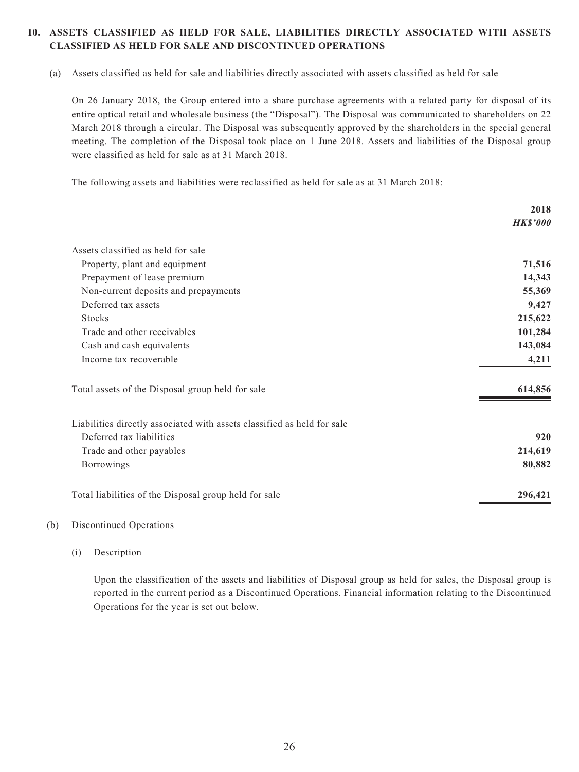### **10. ASSETS CLASSIFIED AS HELD FOR SALE, LIABILITIES DIRECTLY ASSOCIATED WITH ASSETS CLASSIFIED AS HELD FOR SALE AND DISCONTINUED OPERATIONS**

(a) Assets classified as held for sale and liabilities directly associated with assets classified as held for sale

On 26 January 2018, the Group entered into a share purchase agreements with a related party for disposal of its entire optical retail and wholesale business (the "Disposal"). The Disposal was communicated to shareholders on 22 March 2018 through a circular. The Disposal was subsequently approved by the shareholders in the special general meeting. The completion of the Disposal took place on 1 June 2018. Assets and liabilities of the Disposal group were classified as held for sale as at 31 March 2018.

The following assets and liabilities were reclassified as held for sale as at 31 March 2018:

|                                                                         | 2018            |
|-------------------------------------------------------------------------|-----------------|
|                                                                         | <b>HK\$'000</b> |
| Assets classified as held for sale                                      |                 |
| Property, plant and equipment                                           | 71,516          |
| Prepayment of lease premium                                             | 14,343          |
| Non-current deposits and prepayments                                    | 55,369          |
| Deferred tax assets                                                     | 9,427           |
| <b>Stocks</b>                                                           | 215,622         |
| Trade and other receivables                                             | 101,284         |
| Cash and cash equivalents                                               | 143,084         |
| Income tax recoverable                                                  | 4,211           |
| Total assets of the Disposal group held for sale                        | 614,856         |
| Liabilities directly associated with assets classified as held for sale |                 |
| Deferred tax liabilities                                                | 920             |
| Trade and other payables                                                | 214,619         |
| Borrowings                                                              | 80,882          |
| Total liabilities of the Disposal group held for sale                   | 296,421         |

#### (b) Discontinued Operations

(i) Description

Upon the classification of the assets and liabilities of Disposal group as held for sales, the Disposal group is reported in the current period as a Discontinued Operations. Financial information relating to the Discontinued Operations for the year is set out below.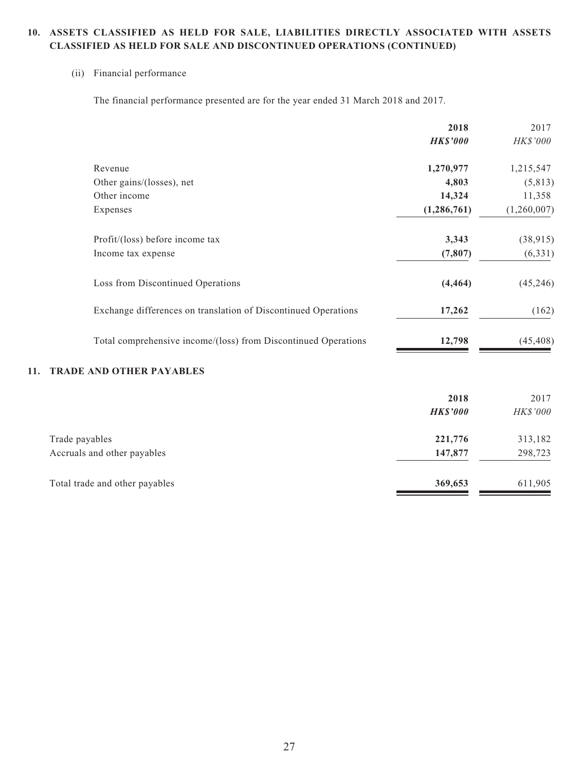### **10. ASSETS CLASSIFIED AS HELD FOR SALE, LIABILITIES DIRECTLY ASSOCIATED WITH ASSETS CLASSIFIED AS HELD FOR SALE AND DISCONTINUED OPERATIONS (CONTINUED)**

### (ii) Financial performance

The financial performance presented are for the year ended 31 March 2018 and 2017.

|                                                                | 2018            | 2017        |
|----------------------------------------------------------------|-----------------|-------------|
|                                                                | <b>HK\$'000</b> | HK\$'000    |
| Revenue                                                        | 1,270,977       | 1,215,547   |
| Other gains/(losses), net                                      | 4,803           | (5, 813)    |
| Other income                                                   | 14,324          | 11,358      |
| Expenses                                                       | (1, 286, 761)   | (1,260,007) |
| Profit/(loss) before income tax                                | 3,343           | (38, 915)   |
| Income tax expense                                             | (7, 807)        | (6, 331)    |
| Loss from Discontinued Operations                              | (4, 464)        | (45,246)    |
| Exchange differences on translation of Discontinued Operations | 17,262          | (162)       |
| Total comprehensive income/(loss) from Discontinued Operations | 12,798          | (45, 408)   |

### **11. TRADE AND OTHER PAYABLES**

|                                               | 2018<br><b>HK\$'000</b> | 2017<br>HK\$'000   |
|-----------------------------------------------|-------------------------|--------------------|
| Trade payables<br>Accruals and other payables | 221,776<br>147,877      | 313,182<br>298,723 |
| Total trade and other payables                | 369,653                 | 611,905            |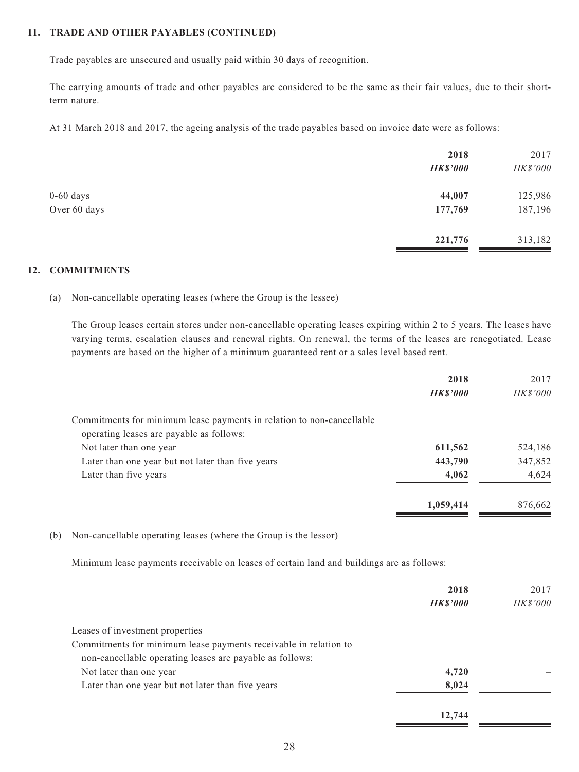### **11. TRADE AND OTHER PAYABLES (CONTINUED)**

Trade payables are unsecured and usually paid within 30 days of recognition.

The carrying amounts of trade and other payables are considered to be the same as their fair values, due to their shortterm nature.

At 31 March 2018 and 2017, the ageing analysis of the trade payables based on invoice date were as follows:

|              | 2018            | 2017     |
|--------------|-----------------|----------|
|              | <b>HK\$'000</b> | HK\$'000 |
| $0-60$ days  | 44,007          | 125,986  |
| Over 60 days | 177,769         | 187,196  |
|              | 221,776         | 313,182  |
|              |                 |          |

#### **12. COMMITMENTS**

(a) Non-cancellable operating leases (where the Group is the lessee)

The Group leases certain stores under non-cancellable operating leases expiring within 2 to 5 years. The leases have varying terms, escalation clauses and renewal rights. On renewal, the terms of the leases are renegotiated. Lease payments are based on the higher of a minimum guaranteed rent or a sales level based rent.

|                                                                       | 2018            | 2017            |
|-----------------------------------------------------------------------|-----------------|-----------------|
|                                                                       | <b>HK\$'000</b> | <b>HK\$'000</b> |
| Commitments for minimum lease payments in relation to non-cancellable |                 |                 |
| operating leases are payable as follows:                              |                 |                 |
| Not later than one year                                               | 611,562         | 524,186         |
| Later than one year but not later than five years                     | 443,790         | 347,852         |
| Later than five years                                                 | 4,062           | 4,624           |
|                                                                       | 1,059,414       | 876,662         |
|                                                                       |                 |                 |

(b) Non-cancellable operating leases (where the Group is the lessor)

Minimum lease payments receivable on leases of certain land and buildings are as follows:

|                                                                  | 2018            | 2017            |
|------------------------------------------------------------------|-----------------|-----------------|
|                                                                  | <b>HK\$'000</b> | <b>HK\$'000</b> |
| Leases of investment properties                                  |                 |                 |
| Commitments for minimum lease payments receivable in relation to |                 |                 |
| non-cancellable operating leases are payable as follows:         |                 |                 |
| Not later than one year                                          | 4,720           |                 |
| Later than one year but not later than five years                | 8,024           |                 |
|                                                                  | 12,744          |                 |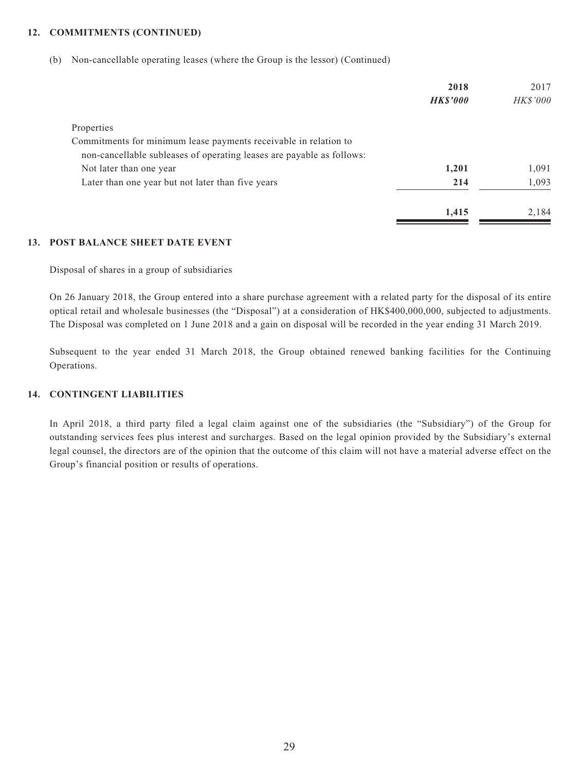#### **12. COMMITMENTS (CONTINUED)**

(b) Non-cancellable operating leases (where the Group is the lessor) (Continued)

|                                                                       | 2018            | 2017            |
|-----------------------------------------------------------------------|-----------------|-----------------|
|                                                                       | <b>HK\$'000</b> | <b>HK\$'000</b> |
| Properties                                                            |                 |                 |
| Commitments for minimum lease payments receivable in relation to      |                 |                 |
| non-cancellable subleases of operating leases are payable as follows: |                 |                 |
| Not later than one year                                               | 1,201           | 1,091           |
| Later than one year but not later than five years                     | 214             | 1,093           |
|                                                                       | 1,415           | 2,184           |

#### **13. POST BALANCE SHEET DATE EVENT**

Disposal of shares in a group of subsidiaries

On 26 January 2018, the Group entered into a share purchase agreement with a related party for the disposal of its entire optical retail and wholesale businesses (the "Disposal") at a consideration of HK\$400,000,000, subjected to adjustments. The Disposal was completed on 1 June 2018 and a gain on disposal will be recorded in the year ending 31 March 2019.

Subsequent to the year ended 31 March 2018, the Group obtained renewed banking facilities for the Continuing Operations.

### **14. CONTINGENT LIABILITIES**

In April 2018, a third party filed a legal claim against one of the subsidiaries (the "Subsidiary") of the Group for outstanding services fees plus interest and surcharges. Based on the legal opinion provided by the Subsidiary's external legal counsel, the directors are of the opinion that the outcome of this claim will not have a material adverse effect on the Group's financial position or results of operations.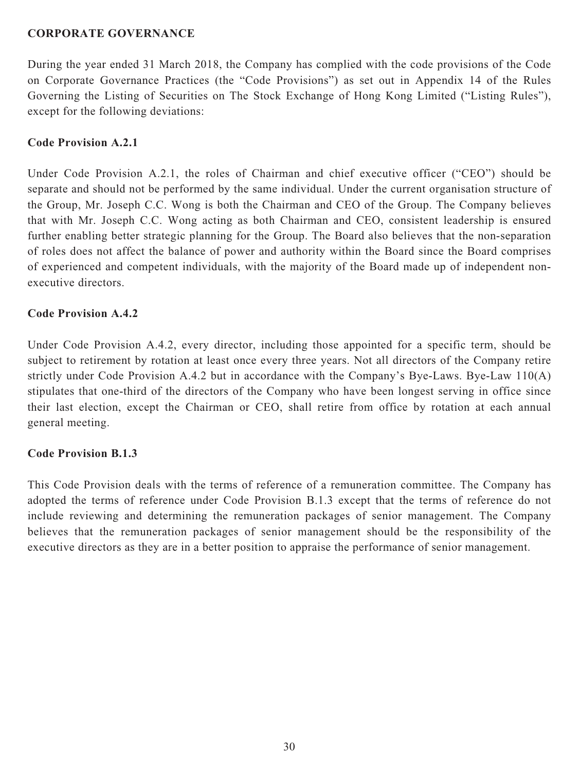### **CORPORATE GOVERNANCE**

During the year ended 31 March 2018, the Company has complied with the code provisions of the Code on Corporate Governance Practices (the "Code Provisions") as set out in Appendix 14 of the Rules Governing the Listing of Securities on The Stock Exchange of Hong Kong Limited ("Listing Rules"), except for the following deviations:

### **Code Provision A.2.1**

Under Code Provision A.2.1, the roles of Chairman and chief executive officer ("CEO") should be separate and should not be performed by the same individual. Under the current organisation structure of the Group, Mr. Joseph C.C. Wong is both the Chairman and CEO of the Group. The Company believes that with Mr. Joseph C.C. Wong acting as both Chairman and CEO, consistent leadership is ensured further enabling better strategic planning for the Group. The Board also believes that the non-separation of roles does not affect the balance of power and authority within the Board since the Board comprises of experienced and competent individuals, with the majority of the Board made up of independent nonexecutive directors.

### **Code Provision A.4.2**

Under Code Provision A.4.2, every director, including those appointed for a specific term, should be subject to retirement by rotation at least once every three years. Not all directors of the Company retire strictly under Code Provision A.4.2 but in accordance with the Company's Bye-Laws. Bye-Law 110(A) stipulates that one-third of the directors of the Company who have been longest serving in office since their last election, except the Chairman or CEO, shall retire from office by rotation at each annual general meeting.

### **Code Provision B.1.3**

This Code Provision deals with the terms of reference of a remuneration committee. The Company has adopted the terms of reference under Code Provision B.1.3 except that the terms of reference do not include reviewing and determining the remuneration packages of senior management. The Company believes that the remuneration packages of senior management should be the responsibility of the executive directors as they are in a better position to appraise the performance of senior management.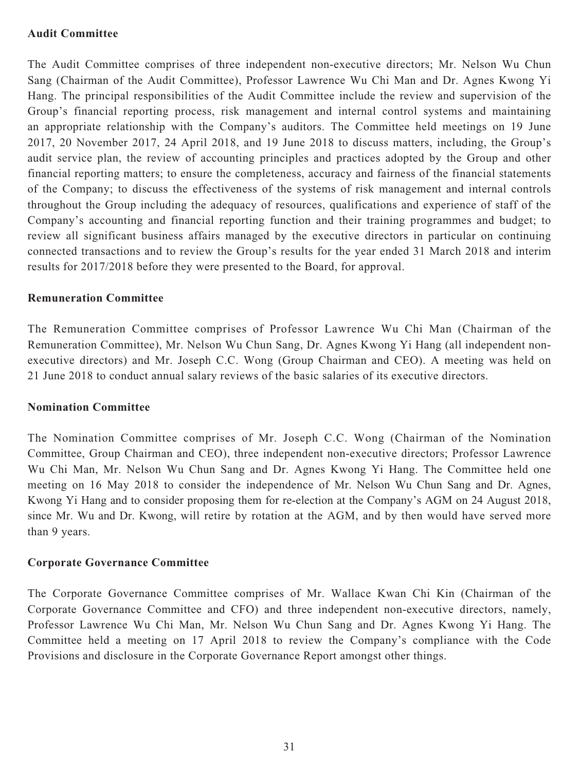### **Audit Committee**

The Audit Committee comprises of three independent non-executive directors; Mr. Nelson Wu Chun Sang (Chairman of the Audit Committee), Professor Lawrence Wu Chi Man and Dr. Agnes Kwong Yi Hang. The principal responsibilities of the Audit Committee include the review and supervision of the Group's financial reporting process, risk management and internal control systems and maintaining an appropriate relationship with the Company's auditors. The Committee held meetings on 19 June 2017, 20 November 2017, 24 April 2018, and 19 June 2018 to discuss matters, including, the Group's audit service plan, the review of accounting principles and practices adopted by the Group and other financial reporting matters; to ensure the completeness, accuracy and fairness of the financial statements of the Company; to discuss the effectiveness of the systems of risk management and internal controls throughout the Group including the adequacy of resources, qualifications and experience of staff of the Company's accounting and financial reporting function and their training programmes and budget; to review all significant business affairs managed by the executive directors in particular on continuing connected transactions and to review the Group's results for the year ended 31 March 2018 and interim results for 2017/2018 before they were presented to the Board, for approval.

### **Remuneration Committee**

The Remuneration Committee comprises of Professor Lawrence Wu Chi Man (Chairman of the Remuneration Committee), Mr. Nelson Wu Chun Sang, Dr. Agnes Kwong Yi Hang (all independent nonexecutive directors) and Mr. Joseph C.C. Wong (Group Chairman and CEO). A meeting was held on 21 June 2018 to conduct annual salary reviews of the basic salaries of its executive directors.

### **Nomination Committee**

The Nomination Committee comprises of Mr. Joseph C.C. Wong (Chairman of the Nomination Committee, Group Chairman and CEO), three independent non-executive directors; Professor Lawrence Wu Chi Man, Mr. Nelson Wu Chun Sang and Dr. Agnes Kwong Yi Hang. The Committee held one meeting on 16 May 2018 to consider the independence of Mr. Nelson Wu Chun Sang and Dr. Agnes, Kwong Yi Hang and to consider proposing them for re-election at the Company's AGM on 24 August 2018, since Mr. Wu and Dr. Kwong, will retire by rotation at the AGM, and by then would have served more than 9 years.

### **Corporate Governance Committee**

The Corporate Governance Committee comprises of Mr. Wallace Kwan Chi Kin (Chairman of the Corporate Governance Committee and CFO) and three independent non-executive directors, namely, Professor Lawrence Wu Chi Man, Mr. Nelson Wu Chun Sang and Dr. Agnes Kwong Yi Hang. The Committee held a meeting on 17 April 2018 to review the Company's compliance with the Code Provisions and disclosure in the Corporate Governance Report amongst other things.